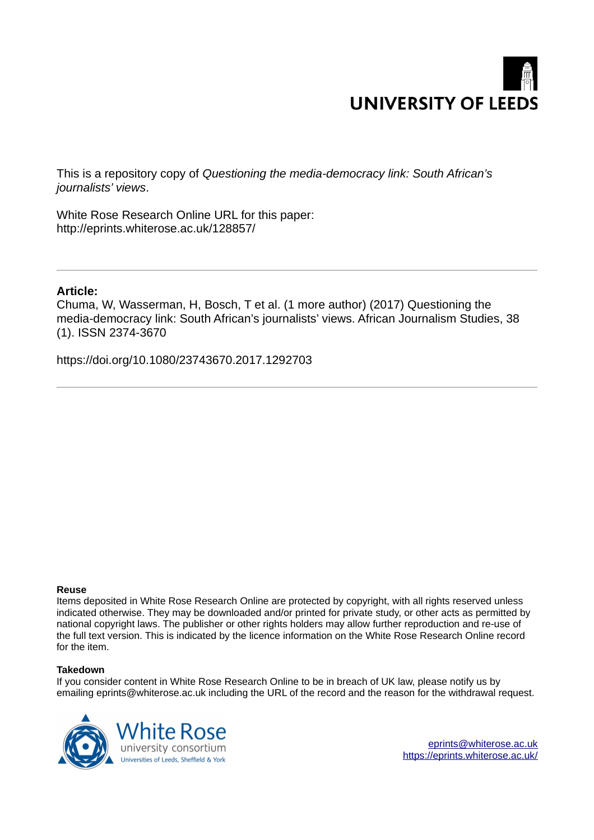

This is a repository copy of *Questioning the media-democracy link: South African's journalists' views*.

White Rose Research Online URL for this paper: http://eprints.whiterose.ac.uk/128857/

## **Article:**

Chuma, W, Wasserman, H, Bosch, T et al. (1 more author) (2017) Questioning the media-democracy link: South African's journalists' views. African Journalism Studies, 38 (1). ISSN 2374-3670

https://doi.org/10.1080/23743670.2017.1292703

#### **Reuse**

Items deposited in White Rose Research Online are protected by copyright, with all rights reserved unless indicated otherwise. They may be downloaded and/or printed for private study, or other acts as permitted by national copyright laws. The publisher or other rights holders may allow further reproduction and re-use of the full text version. This is indicated by the licence information on the White Rose Research Online record for the item.

#### **Takedown**

If you consider content in White Rose Research Online to be in breach of UK law, please notify us by emailing eprints@whiterose.ac.uk including the URL of the record and the reason for the withdrawal request.



[eprints@whiterose.ac.uk](mailto:eprints@whiterose.ac.uk) <https://eprints.whiterose.ac.uk/>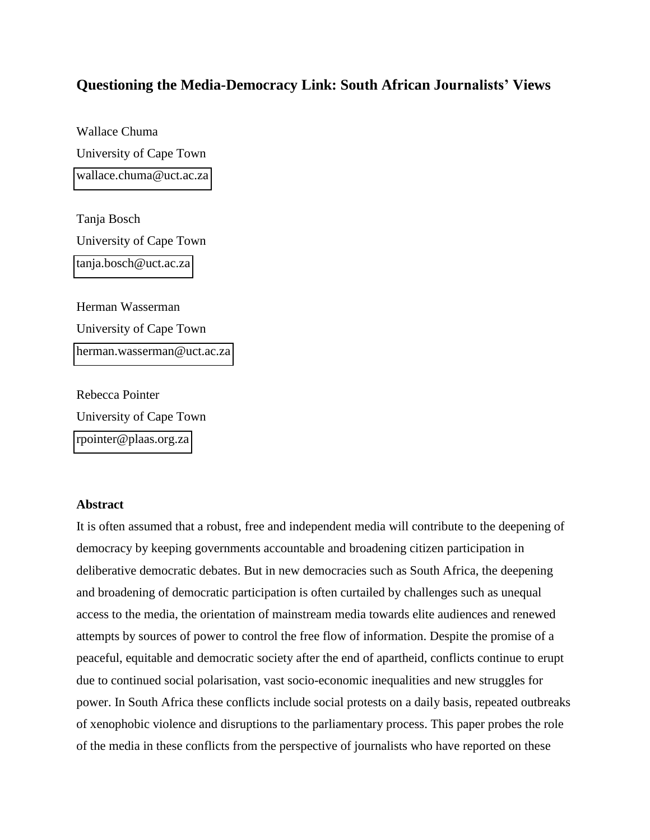# **Questioning the Media-Democracy Link: South African Journalists' Views**

Wallace Chuma University of Cape Town [wallace.chuma@uct.ac.za](mailto:wallace.chuma@uct.ac.za) 

Tanja Bosch University of Cape Town [tanja.bosch@uct.ac.za](mailto:tanja.bosch@uct.ac.za) 

Herman Wasserman University of Cape Town [herman.wasserman@uct.ac.za](mailto:herman.wasserman@uct.ac.za) 

Rebecca Pointer University of Cape Town [rpointer@plaas.org.za](mailto:rpointer@plaas.org.za) 

### **Abstract**

It is often assumed that a robust, free and independent media will contribute to the deepening of democracy by keeping governments accountable and broadening citizen participation in deliberative democratic debates. But in new democracies such as South Africa, the deepening and broadening of democratic participation is often curtailed by challenges such as unequal access to the media, the orientation of mainstream media towards elite audiences and renewed attempts by sources of power to control the free flow of information. Despite the promise of a peaceful, equitable and democratic society after the end of apartheid, conflicts continue to erupt due to continued social polarisation, vast socio-economic inequalities and new struggles for power. In South Africa these conflicts include social protests on a daily basis, repeated outbreaks of xenophobic violence and disruptions to the parliamentary process. This paper probes the role of the media in these conflicts from the perspective of journalists who have reported on these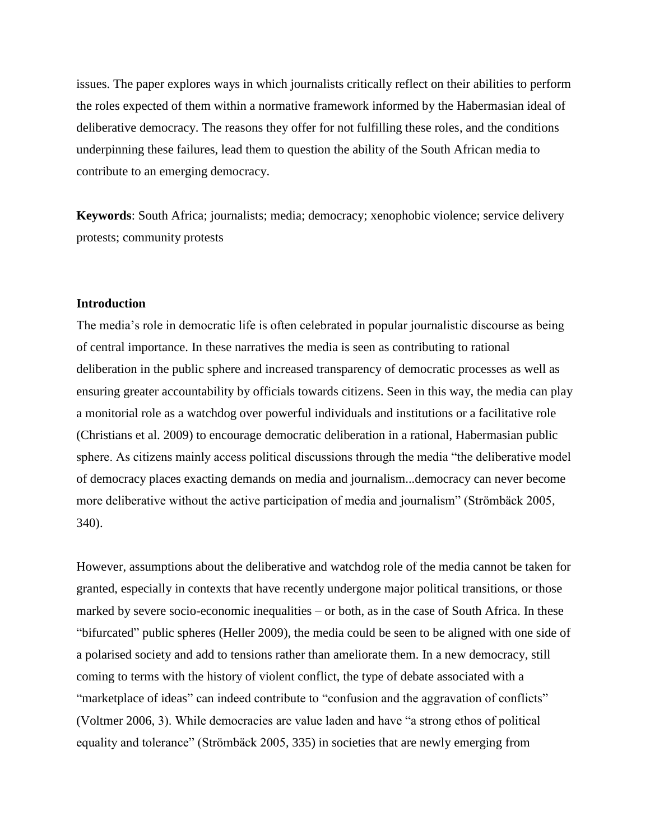issues. The paper explores ways in which journalists critically reflect on their abilities to perform the roles expected of them within a normative framework informed by the Habermasian ideal of deliberative democracy. The reasons they offer for not fulfilling these roles, and the conditions underpinning these failures, lead them to question the ability of the South African media to contribute to an emerging democracy.

**Keywords**: South Africa; journalists; media; democracy; xenophobic violence; service delivery protests; community protests

## **Introduction**

The media's role in democratic life is often celebrated in popular journalistic discourse as being of central importance. In these narratives the media is seen as contributing to rational deliberation in the public sphere and increased transparency of democratic processes as well as ensuring greater accountability by officials towards citizens. Seen in this way, the media can play a monitorial role as a watchdog over powerful individuals and institutions or a facilitative role (Christians et al. 2009) to encourage democratic deliberation in a rational, Habermasian public sphere. As citizens mainly access political discussions through the media "the deliberative model of democracy places exacting demands on media and journalism...democracy can never become more deliberative without the active participation of media and journalism" (Strömbäck 2005, 340).

However, assumptions about the deliberative and watchdog role of the media cannot be taken for granted, especially in contexts that have recently undergone major political transitions, or those marked by severe socio-economic inequalities  $-$  or both, as in the case of South Africa. In these "bifurcated" public spheres (Heller 2009), the media could be seen to be aligned with one side of a polarised society and add to tensions rather than ameliorate them. In a new democracy, still coming to terms with the history of violent conflict, the type of debate associated with a "marketplace of ideas" can indeed contribute to "confusion and the aggravation of conflicts" (Voltmer 2006, 3). While democracies are value laden and have "a strong ethos of political equality and tolerance" (Strömbäck 2005, 335) in societies that are newly emerging from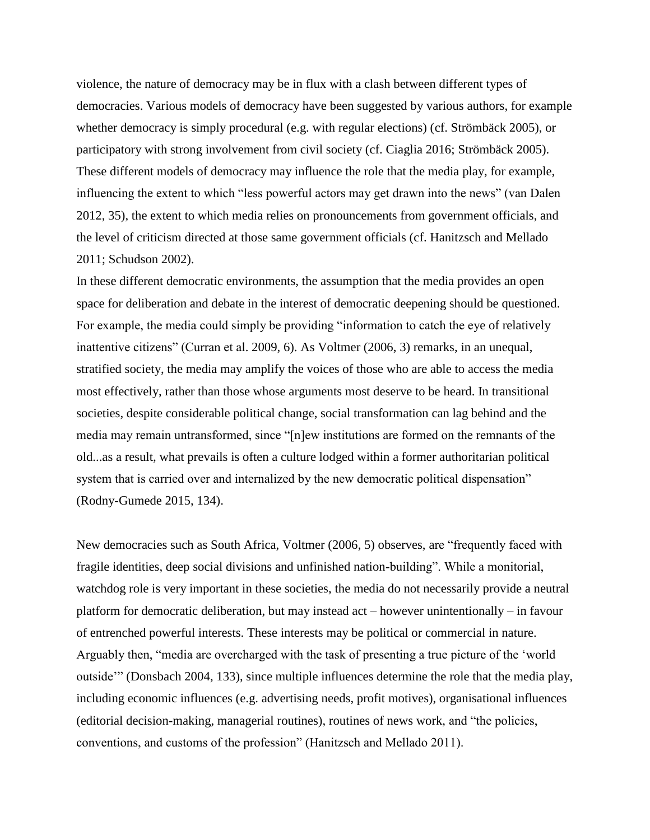violence, the nature of democracy may be in flux with a clash between different types of democracies. Various models of democracy have been suggested by various authors, for example whether democracy is simply procedural (e.g. with regular elections) (cf. Strömbäck 2005), or participatory with strong involvement from civil society (cf. Ciaglia 2016; Strömbäck 2005). These different models of democracy may influence the role that the media play, for example, influencing the extent to which "less powerful actors may get drawn into the news" (van Dalen 2012, 35), the extent to which media relies on pronouncements from government officials, and the level of criticism directed at those same government officials (cf. Hanitzsch and Mellado 2011; Schudson 2002).

In these different democratic environments, the assumption that the media provides an open space for deliberation and debate in the interest of democratic deepening should be questioned. For example, the media could simply be providing "information to catch the eye of relatively inattentive citizens" (Curran et al. 2009, 6). As Voltmer (2006, 3) remarks, in an unequal, stratified society, the media may amplify the voices of those who are able to access the media most effectively, rather than those whose arguments most deserve to be heard. In transitional societies, despite considerable political change, social transformation can lag behind and the media may remain untransformed, since "[n]ew institutions are formed on the remnants of the old...as a result, what prevails is often a culture lodged within a former authoritarian political system that is carried over and internalized by the new democratic political dispensation" (Rodny-Gumede 2015, 134).

New democracies such as South Africa, Voltmer (2006, 5) observes, are "frequently faced with fragile identities, deep social divisions and unfinished nation-building". While a monitorial, watchdog role is very important in these societies, the media do not necessarily provide a neutral platform for democratic deliberation, but may instead act – however unintentionally – in favour of entrenched powerful interests. These interests may be political or commercial in nature. Arguably then, "media are overcharged with the task of presenting a true picture of the 'world outside'" (Donsbach 2004, 133), since multiple influences determine the role that the media play, including economic influences (e.g. advertising needs, profit motives), organisational influences (editorial decision-making, managerial routines), routines of news work, and "the policies, conventions, and customs of the profession" (Hanitzsch and Mellado 2011).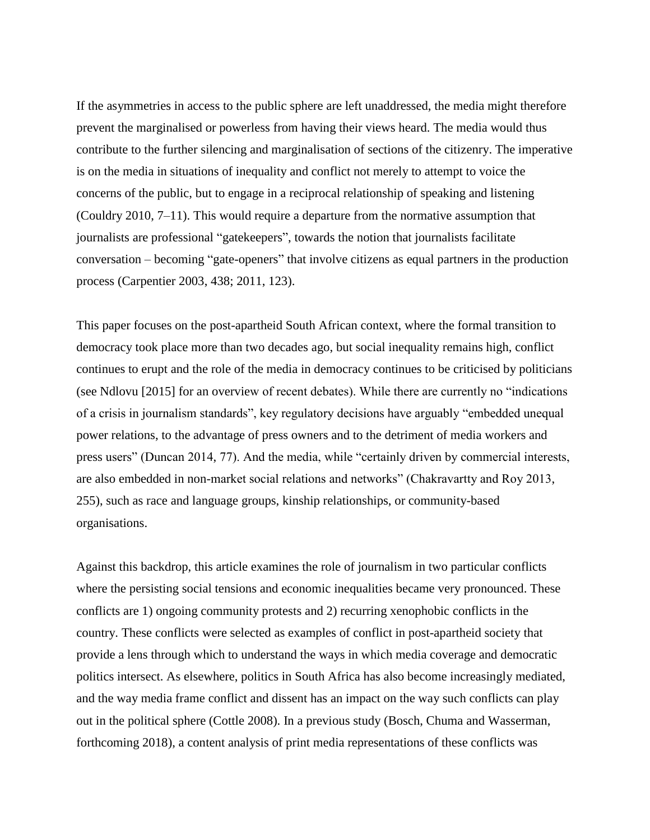If the asymmetries in access to the public sphere are left unaddressed, the media might therefore prevent the marginalised or powerless from having their views heard. The media would thus contribute to the further silencing and marginalisation of sections of the citizenry. The imperative is on the media in situations of inequality and conflict not merely to attempt to voice the concerns of the public, but to engage in a reciprocal relationship of speaking and listening (Couldry 2010, 7–11). This would require a departure from the normative assumption that journalists are professional "gatekeepers", towards the notion that journalists facilitate conversation – becoming "gate-openers" that involve citizens as equal partners in the production process (Carpentier 2003, 438; 2011, 123).

This paper focuses on the post-apartheid South African context, where the formal transition to democracy took place more than two decades ago, but social inequality remains high, conflict continues to erupt and the role of the media in democracy continues to be criticised by politicians (see Ndlovu [2015] for an overview of recent debates). While there are currently no "indications of a crisis in journalism standards", key regulatory decisions have arguably "embedded unequal power relations, to the advantage of press owners and to the detriment of media workers and press users" (Duncan 2014, 77). And the media, while "certainly driven by commercial interests, are also embedded in non-market social relations and networks" (Chakravartty and Roy 2013, 255), such as race and language groups, kinship relationships, or community-based organisations.

Against this backdrop, this article examines the role of journalism in two particular conflicts where the persisting social tensions and economic inequalities became very pronounced. These conflicts are 1) ongoing community protests and 2) recurring xenophobic conflicts in the country. These conflicts were selected as examples of conflict in post-apartheid society that provide a lens through which to understand the ways in which media coverage and democratic politics intersect. As elsewhere, politics in South Africa has also become increasingly mediated, and the way media frame conflict and dissent has an impact on the way such conflicts can play out in the political sphere (Cottle 2008). In a previous study (Bosch, Chuma and Wasserman, forthcoming 2018), a content analysis of print media representations of these conflicts was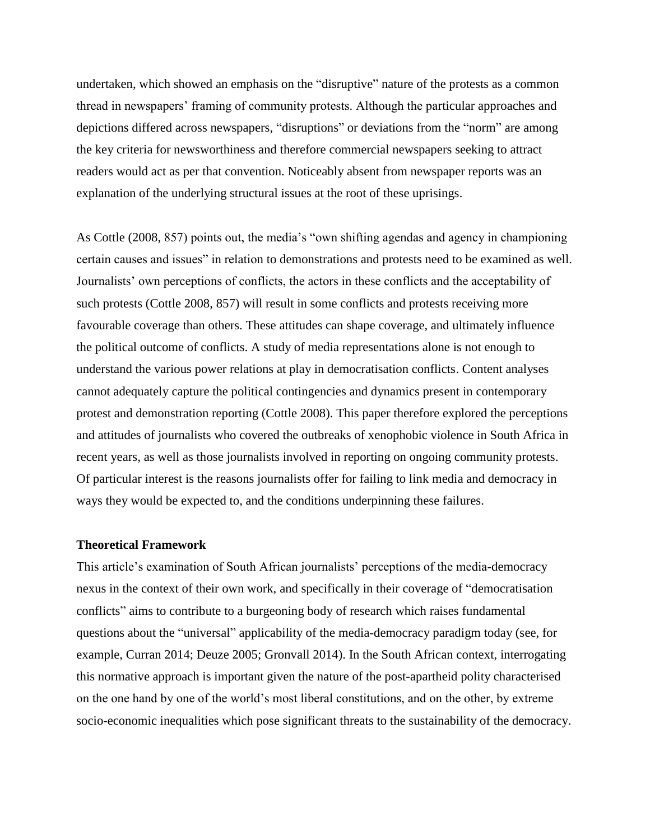undertaken, which showed an emphasis on the "disruptive" nature of the protests as a common thread in newspapers' framing of community protests. Although the particular approaches and depictions differed across newspapers, "disruptions" or deviations from the "norm" are among the key criteria for newsworthiness and therefore commercial newspapers seeking to attract readers would act as per that convention. Noticeably absent from newspaper reports was an explanation of the underlying structural issues at the root of these uprisings.

As Cottle (2008, 857) points out, the media's "own shifting agendas and agency in championing certain causes and issues" in relation to demonstrations and protests need to be examined as well. Journalists' own perceptions of conflicts, the actors in these conflicts and the acceptability of such protests (Cottle 2008, 857) will result in some conflicts and protests receiving more favourable coverage than others. These attitudes can shape coverage, and ultimately influence the political outcome of conflicts. A study of media representations alone is not enough to understand the various power relations at play in democratisation conflicts. Content analyses cannot adequately capture the political contingencies and dynamics present in contemporary protest and demonstration reporting (Cottle 2008). This paper therefore explored the perceptions and attitudes of journalists who covered the outbreaks of xenophobic violence in South Africa in recent years, as well as those journalists involved in reporting on ongoing community protests. Of particular interest is the reasons journalists offer for failing to link media and democracy in ways they would be expected to, and the conditions underpinning these failures.

## **Theoretical Framework**

This article's examination of South African journalists' perceptions of the media-democracy nexus in the context of their own work, and specifically in their coverage of "democratisation conflicts" aims to contribute to a burgeoning body of research which raises fundamental questions about the "universal" applicability of the media-democracy paradigm today (see, for example, Curran 2014; Deuze 2005; Gronvall 2014). In the South African context, interrogating this normative approach is important given the nature of the post-apartheid polity characterised on the one hand by one of the world's most liberal constitutions, and on the other, by extreme socio-economic inequalities which pose significant threats to the sustainability of the democracy.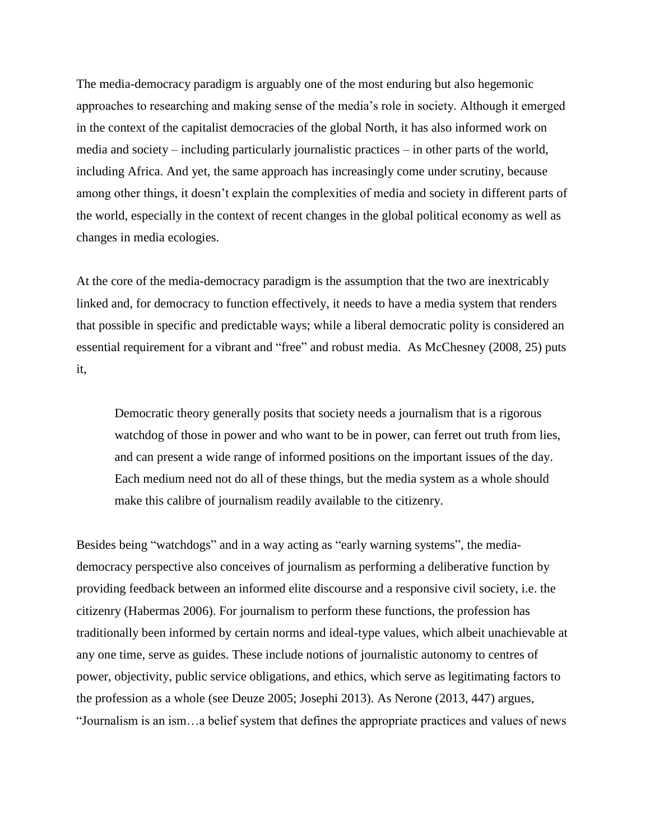The media-democracy paradigm is arguably one of the most enduring but also hegemonic approaches to researching and making sense of the media's role in society. Although it emerged in the context of the capitalist democracies of the global North, it has also informed work on media and society – including particularly journalistic practices – in other parts of the world, including Africa. And yet, the same approach has increasingly come under scrutiny, because among other things, it doesn't explain the complexities of media and society in different parts of the world, especially in the context of recent changes in the global political economy as well as changes in media ecologies.

At the core of the media-democracy paradigm is the assumption that the two are inextricably linked and, for democracy to function effectively, it needs to have a media system that renders that possible in specific and predictable ways; while a liberal democratic polity is considered an essential requirement for a vibrant and "free" and robust media. As McChesney (2008, 25) puts it,

Democratic theory generally posits that society needs a journalism that is a rigorous watchdog of those in power and who want to be in power, can ferret out truth from lies, and can present a wide range of informed positions on the important issues of the day. Each medium need not do all of these things, but the media system as a whole should make this calibre of journalism readily available to the citizenry.

Besides being "watchdogs" and in a way acting as "early warning systems", the mediademocracy perspective also conceives of journalism as performing a deliberative function by providing feedback between an informed elite discourse and a responsive civil society, i.e. the citizenry (Habermas 2006). For journalism to perform these functions, the profession has traditionally been informed by certain norms and ideal-type values, which albeit unachievable at any one time, serve as guides. These include notions of journalistic autonomy to centres of power, objectivity, public service obligations, and ethics, which serve as legitimating factors to the profession as a whole (see Deuze 2005; Josephi 2013). As Nerone (2013, 447) argues, "Journalism is an ism…a belief system that defines the appropriate practices and values of news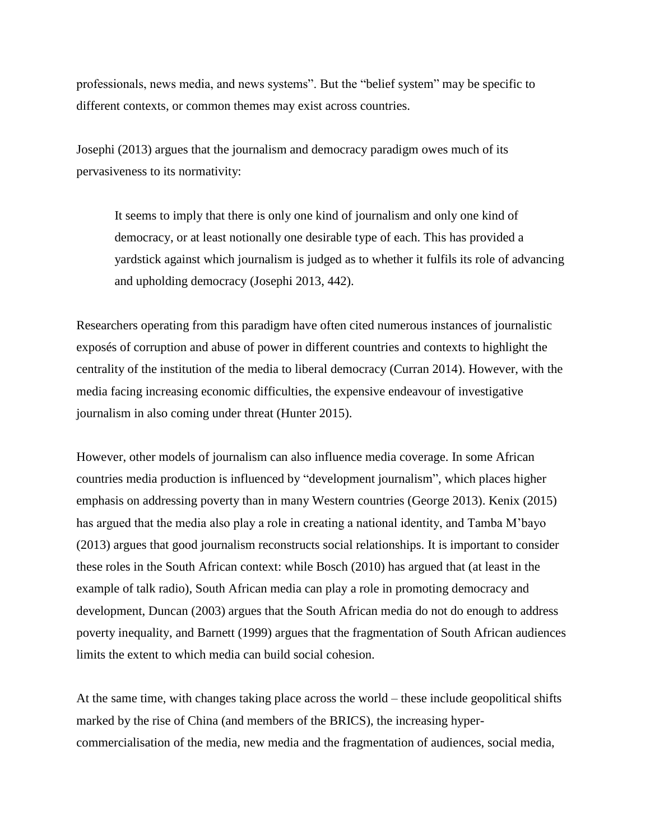professionals, news media, and news systems". But the "belief system" may be specific to different contexts, or common themes may exist across countries.

Josephi (2013) argues that the journalism and democracy paradigm owes much of its pervasiveness to its normativity:

It seems to imply that there is only one kind of journalism and only one kind of democracy, or at least notionally one desirable type of each. This has provided a yardstick against which journalism is judged as to whether it fulfils its role of advancing and upholding democracy (Josephi 2013, 442).

Researchers operating from this paradigm have often cited numerous instances of journalistic exposés of corruption and abuse of power in different countries and contexts to highlight the centrality of the institution of the media to liberal democracy (Curran 2014). However, with the media facing increasing economic difficulties, the expensive endeavour of investigative journalism in also coming under threat (Hunter 2015).

However, other models of journalism can also influence media coverage. In some African countries media production is influenced by "development journalism", which places higher emphasis on addressing poverty than in many Western countries (George 2013). Kenix (2015) has argued that the media also play a role in creating a national identity, and Tamba M'bayo (2013) argues that good journalism reconstructs social relationships. It is important to consider these roles in the South African context: while Bosch (2010) has argued that (at least in the example of talk radio), South African media can play a role in promoting democracy and development, Duncan (2003) argues that the South African media do not do enough to address poverty inequality, and Barnett (1999) argues that the fragmentation of South African audiences limits the extent to which media can build social cohesion.

At the same time, with changes taking place across the world  $-$  these include geopolitical shifts marked by the rise of China (and members of the BRICS), the increasing hypercommercialisation of the media, new media and the fragmentation of audiences, social media,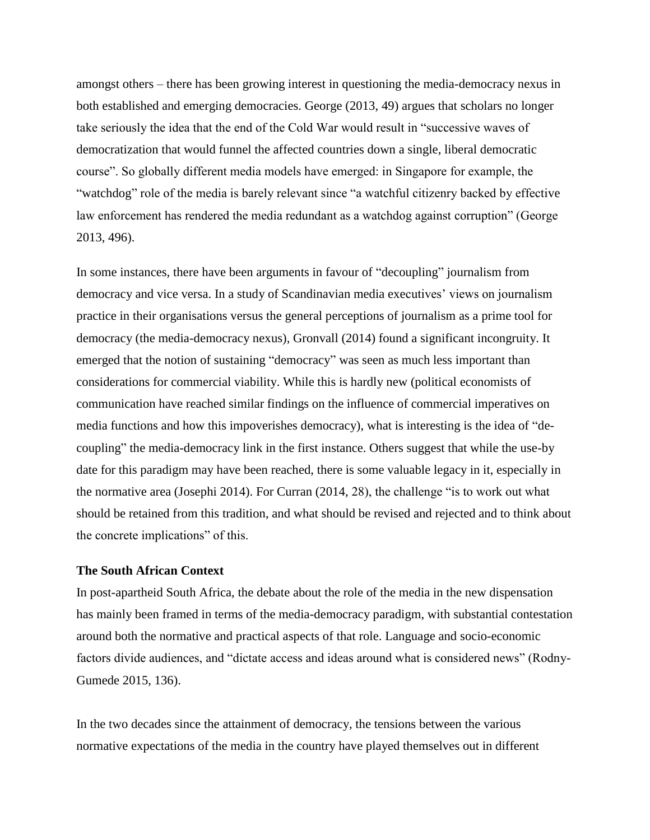amongst others – there has been growing interest in questioning the media-democracy nexus in both established and emerging democracies. George (2013, 49) argues that scholars no longer take seriously the idea that the end of the Cold War would result in "successive waves of democratization that would funnel the affected countries down a single, liberal democratic course". So globally different media models have emerged: in Singapore for example, the "watchdog" role of the media is barely relevant since "a watchful citizenry backed by effective law enforcement has rendered the media redundant as a watchdog against corruption" (George 2013, 496).

In some instances, there have been arguments in favour of "decoupling" journalism from democracy and vice versa. In a study of Scandinavian media executives' views on journalism practice in their organisations versus the general perceptions of journalism as a prime tool for democracy (the media-democracy nexus), Gronvall (2014) found a significant incongruity. It emerged that the notion of sustaining "democracy" was seen as much less important than considerations for commercial viability. While this is hardly new (political economists of communication have reached similar findings on the influence of commercial imperatives on media functions and how this impoverishes democracy), what is interesting is the idea of "decoupling" the media-democracy link in the first instance. Others suggest that while the use-by date for this paradigm may have been reached, there is some valuable legacy in it, especially in the normative area (Josephi 2014). For Curran (2014, 28), the challenge "is to work out what should be retained from this tradition, and what should be revised and rejected and to think about the concrete implications" of this.

#### **The South African Context**

In post-apartheid South Africa, the debate about the role of the media in the new dispensation has mainly been framed in terms of the media-democracy paradigm, with substantial contestation around both the normative and practical aspects of that role. Language and socio-economic factors divide audiences, and "dictate access and ideas around what is considered news" (Rodny-Gumede 2015, 136).

In the two decades since the attainment of democracy, the tensions between the various normative expectations of the media in the country have played themselves out in different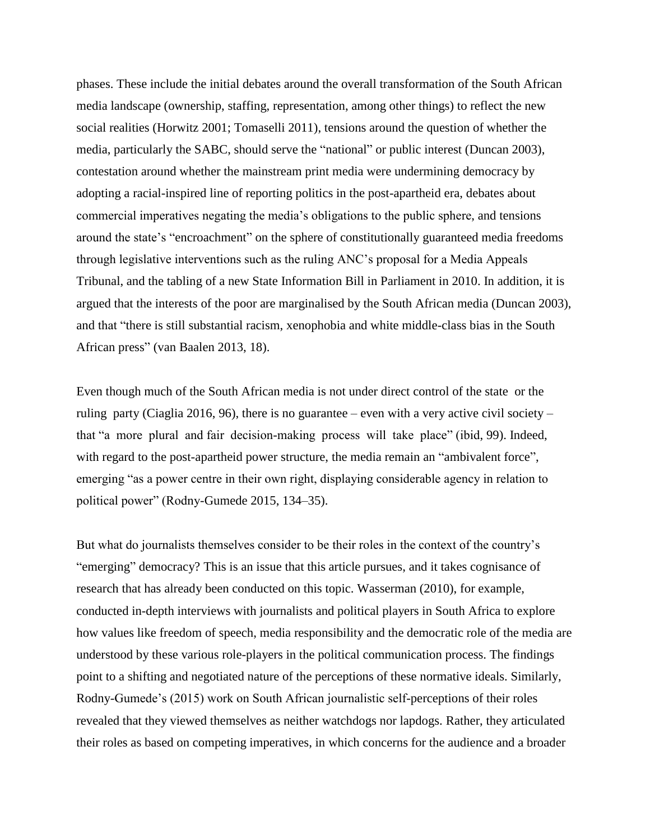phases. These include the initial debates around the overall transformation of the South African media landscape (ownership, staffing, representation, among other things) to reflect the new social realities (Horwitz 2001; Tomaselli 2011), tensions around the question of whether the media, particularly the SABC, should serve the "national" or public interest (Duncan 2003), contestation around whether the mainstream print media were undermining democracy by adopting a racial-inspired line of reporting politics in the post-apartheid era, debates about commercial imperatives negating the media's obligations to the public sphere, and tensions around the state's "encroachment" on the sphere of constitutionally guaranteed media freedoms through legislative interventions such as the ruling ANC's proposal for a Media Appeals Tribunal, and the tabling of a new State Information Bill in Parliament in 2010. In addition, it is argued that the interests of the poor are marginalised by the South African media (Duncan 2003), and that "there is still substantial racism, xenophobia and white middle-class bias in the South African press" (van Baalen 2013, 18).

Even though much of the South African media is not under direct control of the state or the ruling party (Ciaglia 2016, 96), there is no guarantee – even with a very active civil society – that "a more plural and fair decision-making process will take place" (ibid, 99). Indeed, with regard to the post-apartheid power structure, the media remain an "ambivalent force", emerging "as a power centre in their own right, displaying considerable agency in relation to political power" (Rodny-Gumede 2015, 134–35).

But what do journalists themselves consider to be their roles in the context of the country's "emerging" democracy? This is an issue that this article pursues, and it takes cognisance of research that has already been conducted on this topic. Wasserman (2010), for example, conducted in-depth interviews with journalists and political players in South Africa to explore how values like freedom of speech, media responsibility and the democratic role of the media are understood by these various role-players in the political communication process. The findings point to a shifting and negotiated nature of the perceptions of these normative ideals. Similarly, Rodny-Gumede's (2015) work on South African journalistic self-perceptions of their roles revealed that they viewed themselves as neither watchdogs nor lapdogs. Rather, they articulated their roles as based on competing imperatives, in which concerns for the audience and a broader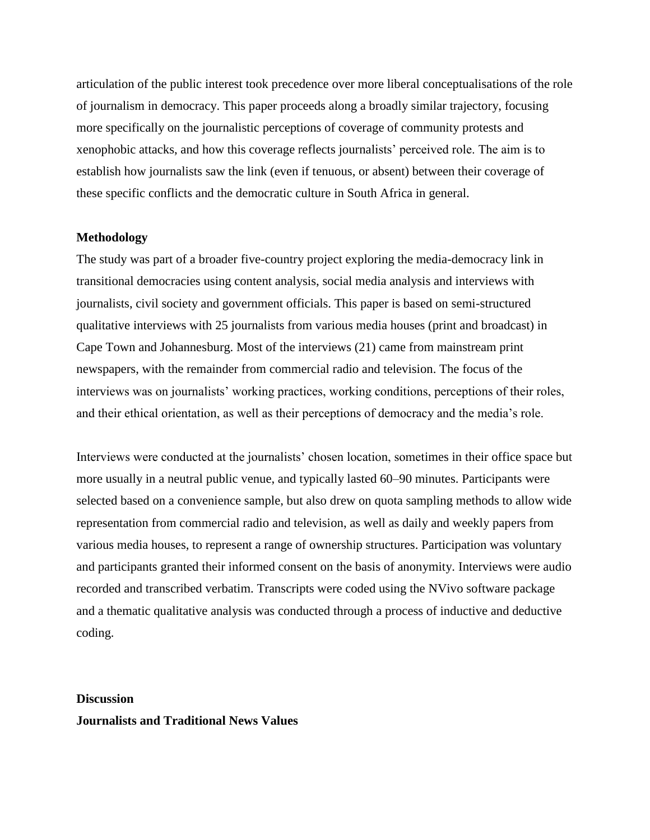articulation of the public interest took precedence over more liberal conceptualisations of the role of journalism in democracy. This paper proceeds along a broadly similar trajectory, focusing more specifically on the journalistic perceptions of coverage of community protests and xenophobic attacks, and how this coverage reflects journalists' perceived role. The aim is to establish how journalists saw the link (even if tenuous, or absent) between their coverage of these specific conflicts and the democratic culture in South Africa in general.

### **Methodology**

The study was part of a broader five-country project exploring the media-democracy link in transitional democracies using content analysis, social media analysis and interviews with journalists, civil society and government officials. This paper is based on semi-structured qualitative interviews with 25 journalists from various media houses (print and broadcast) in Cape Town and Johannesburg. Most of the interviews (21) came from mainstream print newspapers, with the remainder from commercial radio and television. The focus of the interviews was on journalists' working practices, working conditions, perceptions of their roles, and their ethical orientation, as well as their perceptions of democracy and the media's role.

Interviews were conducted at the journalists' chosen location, sometimes in their office space but more usually in a neutral public venue, and typically lasted 60–90 minutes. Participants were selected based on a convenience sample, but also drew on quota sampling methods to allow wide representation from commercial radio and television, as well as daily and weekly papers from various media houses, to represent a range of ownership structures. Participation was voluntary and participants granted their informed consent on the basis of anonymity. Interviews were audio recorded and transcribed verbatim. Transcripts were coded using the NVivo software package and a thematic qualitative analysis was conducted through a process of inductive and deductive coding.

# **Discussion Journalists and Traditional News Values**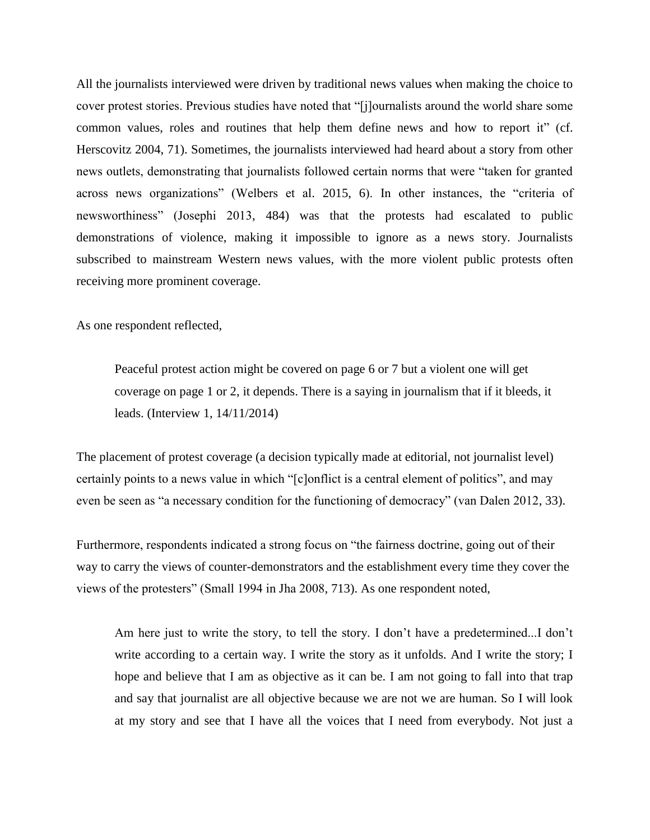All the journalists interviewed were driven by traditional news values when making the choice to cover protest stories. Previous studies have noted that "[j]ournalists around the world share some common values, roles and routines that help them define news and how to report it" (cf. Herscovitz 2004, 71). Sometimes, the journalists interviewed had heard about a story from other news outlets, demonstrating that journalists followed certain norms that were "taken for granted across news organizations" (Welbers et al. 2015, 6). In other instances, the "criteria of newsworthiness" (Josephi 2013, 484) was that the protests had escalated to public demonstrations of violence, making it impossible to ignore as a news story. Journalists subscribed to mainstream Western news values, with the more violent public protests often receiving more prominent coverage.

As one respondent reflected,

Peaceful protest action might be covered on page 6 or 7 but a violent one will get coverage on page 1 or 2, it depends. There is a saying in journalism that if it bleeds, it leads. (Interview 1, 14/11/2014)

The placement of protest coverage (a decision typically made at editorial, not journalist level) certainly points to a news value in which "[c]onflict is a central element of politics", and may even be seen as "a necessary condition for the functioning of democracy" (van Dalen 2012, 33).

Furthermore, respondents indicated a strong focus on "the fairness doctrine, going out of their way to carry the views of counter-demonstrators and the establishment every time they cover the views of the protesters" (Small 1994 in Jha 2008, 713). As one respondent noted,

Am here just to write the story, to tell the story. I don't have a predetermined...I don't write according to a certain way. I write the story as it unfolds. And I write the story; I hope and believe that I am as objective as it can be. I am not going to fall into that trap and say that journalist are all objective because we are not we are human. So I will look at my story and see that I have all the voices that I need from everybody. Not just a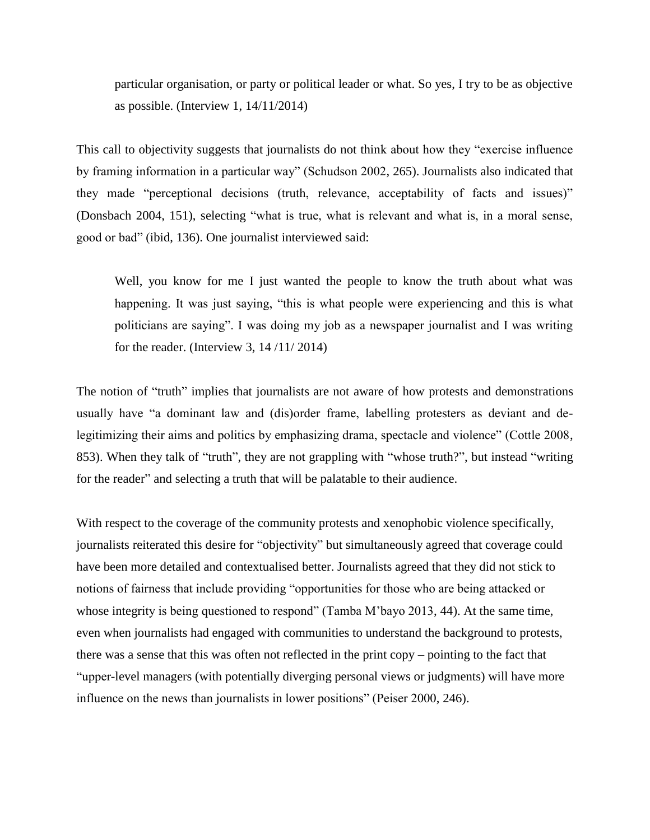particular organisation, or party or political leader or what. So yes, I try to be as objective as possible. (Interview 1, 14/11/2014)

This call to objectivity suggests that journalists do not think about how they "exercise influence by framing information in a particular way" (Schudson 2002, 265). Journalists also indicated that they made "perceptional decisions (truth, relevance, acceptability of facts and issues)" (Donsbach 2004, 151), selecting "what is true, what is relevant and what is, in a moral sense, good or bad" (ibid, 136). One journalist interviewed said:

Well, you know for me I just wanted the people to know the truth about what was happening. It was just saying, "this is what people were experiencing and this is what politicians are saying". I was doing my job as a newspaper journalist and I was writing for the reader. (Interview 3, 14 /11/ 2014)

The notion of "truth" implies that journalists are not aware of how protests and demonstrations usually have "a dominant law and (dis)order frame, labelling protesters as deviant and delegitimizing their aims and politics by emphasizing drama, spectacle and violence" (Cottle 2008, 853). When they talk of "truth", they are not grappling with "whose truth?", but instead "writing for the reader" and selecting a truth that will be palatable to their audience.

With respect to the coverage of the community protests and xenophobic violence specifically, journalists reiterated this desire for "objectivity" but simultaneously agreed that coverage could have been more detailed and contextualised better. Journalists agreed that they did not stick to notions of fairness that include providing "opportunities for those who are being attacked or whose integrity is being questioned to respond" (Tamba M'bayo 2013, 44). At the same time, even when journalists had engaged with communities to understand the background to protests, there was a sense that this was often not reflected in the print  $copy$  -pointing to the fact that "upper-level managers (with potentially diverging personal views or judgments) will have more influence on the news than journalists in lower positions" (Peiser 2000, 246).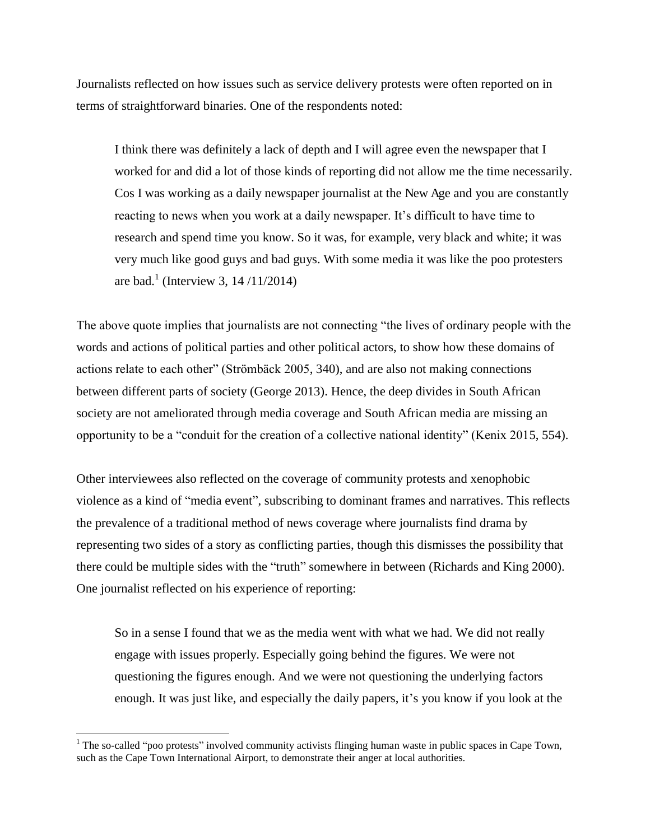Journalists reflected on how issues such as service delivery protests were often reported on in terms of straightforward binaries. One of the respondents noted:

I think there was definitely a lack of depth and I will agree even the newspaper that I worked for and did a lot of those kinds of reporting did not allow me the time necessarily. Cos I was working as a daily newspaper journalist at the New Age and you are constantly reacting to news when you work at a daily newspaper. It's difficult to have time to research and spend time you know. So it was, for example, very black and white; it was very much like good guys and bad guys. With some media it was like the poo protesters are bad.<sup>1</sup> (Interview 3, 14/11/2014)

The above quote implies that journalists are not connecting "the lives of ordinary people with the words and actions of political parties and other political actors, to show how these domains of actions relate to each other" (Strömbäck 2005, 340), and are also not making connections between different parts of society (George 2013). Hence, the deep divides in South African society are not ameliorated through media coverage and South African media are missing an opportunity to be a "conduit for the creation of a collective national identity" (Kenix 2015, 554).

Other interviewees also reflected on the coverage of community protests and xenophobic violence as a kind of "media event", subscribing to dominant frames and narratives. This reflects the prevalence of a traditional method of news coverage where journalists find drama by representing two sides of a story as conflicting parties, though this dismisses the possibility that there could be multiple sides with the "truth" somewhere in between (Richards and King 2000). One journalist reflected on his experience of reporting:

So in a sense I found that we as the media went with what we had. We did not really engage with issues properly. Especially going behind the figures. We were not questioning the figures enough. And we were not questioning the underlying factors enough. It was just like, and especially the daily papers, it's you know if you look at the

 $\overline{a}$ 

<sup>&</sup>lt;sup>1</sup> The so-called "poo protests" involved community activists flinging human waste in public spaces in Cape Town, such as the Cape Town International Airport, to demonstrate their anger at local authorities.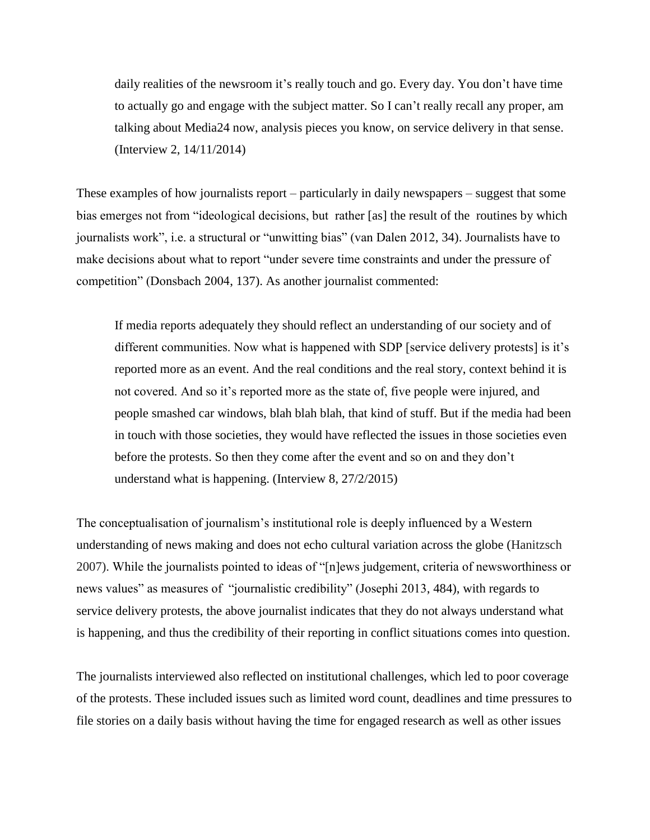daily realities of the newsroom it's really touch and go. Every day. You don't have time to actually go and engage with the subject matter. So I can't really recall any proper, am talking about Media24 now, analysis pieces you know, on service delivery in that sense. (Interview 2, 14/11/2014)

These examples of how journalists report – particularly in daily newspapers – suggest that some bias emerges not from "ideological decisions, but rather [as] the result of the routines by which journalists work", i.e. a structural or "unwitting bias" (van Dalen 2012, 34). Journalists have to make decisions about what to report "under severe time constraints and under the pressure of competition" (Donsbach 2004, 137). As another journalist commented:

If media reports adequately they should reflect an understanding of our society and of different communities. Now what is happened with SDP [service delivery protests] is it's reported more as an event. And the real conditions and the real story, context behind it is not covered. And so it's reported more as the state of, five people were injured, and people smashed car windows, blah blah blah, that kind of stuff. But if the media had been in touch with those societies, they would have reflected the issues in those societies even before the protests. So then they come after the event and so on and they don't understand what is happening. (Interview 8, 27/2/2015)

The conceptualisation of journalism's institutional role is deeply influenced by a Western understanding of news making and does not echo cultural variation across the globe (Hanitzsch 2007). While the journalists pointed to ideas of "[n]ews judgement, criteria of newsworthiness or news values" as measures of "journalistic credibility" (Josephi 2013, 484), with regards to service delivery protests, the above journalist indicates that they do not always understand what is happening, and thus the credibility of their reporting in conflict situations comes into question.

The journalists interviewed also reflected on institutional challenges, which led to poor coverage of the protests. These included issues such as limited word count, deadlines and time pressures to file stories on a daily basis without having the time for engaged research as well as other issues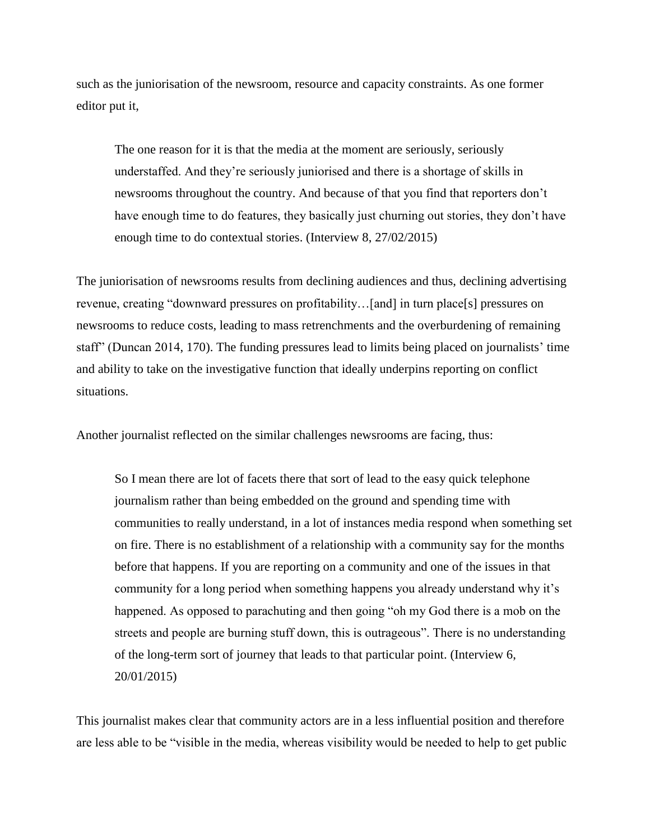such as the juniorisation of the newsroom, resource and capacity constraints. As one former editor put it,

The one reason for it is that the media at the moment are seriously, seriously understaffed. And they're seriously juniorised and there is a shortage of skills in newsrooms throughout the country. And because of that you find that reporters don't have enough time to do features, they basically just churning out stories, they don't have enough time to do contextual stories. (Interview 8, 27/02/2015)

The juniorisation of newsrooms results from declining audiences and thus, declining advertising revenue, creating "downward pressures on profitability…[and] in turn place[s] pressures on newsrooms to reduce costs, leading to mass retrenchments and the overburdening of remaining staff" (Duncan 2014, 170). The funding pressures lead to limits being placed on journalists' time and ability to take on the investigative function that ideally underpins reporting on conflict situations.

Another journalist reflected on the similar challenges newsrooms are facing, thus:

So I mean there are lot of facets there that sort of lead to the easy quick telephone journalism rather than being embedded on the ground and spending time with communities to really understand, in a lot of instances media respond when something set on fire. There is no establishment of a relationship with a community say for the months before that happens. If you are reporting on a community and one of the issues in that community for a long period when something happens you already understand why it's happened. As opposed to parachuting and then going "oh my God there is a mob on the streets and people are burning stuff down, this is outrageous". There is no understanding of the long-term sort of journey that leads to that particular point. (Interview 6, 20/01/2015)

This journalist makes clear that community actors are in a less influential position and therefore are less able to be "visible in the media, whereas visibility would be needed to help to get public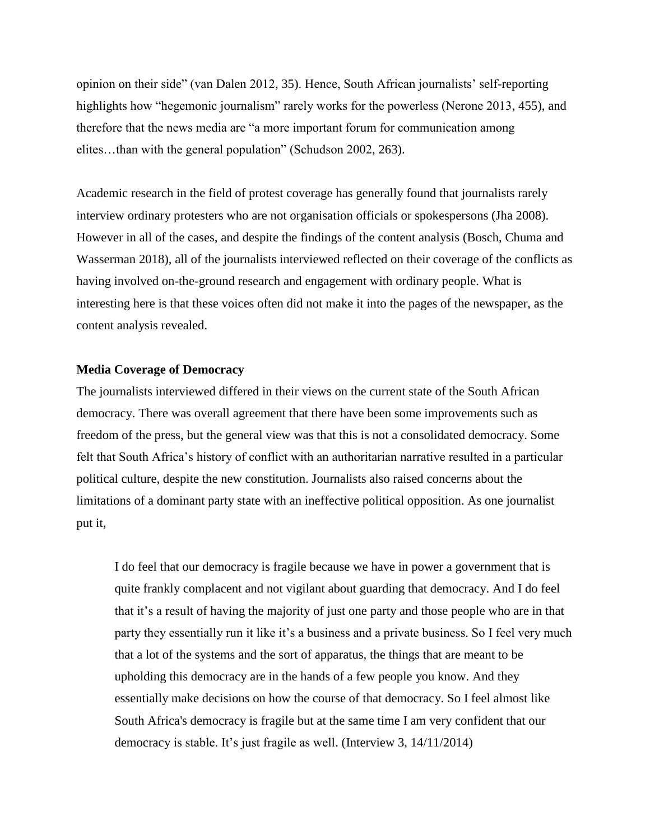opinion on their side" (van Dalen 2012, 35). Hence, South African journalists' self-reporting highlights how "hegemonic journalism" rarely works for the powerless (Nerone 2013, 455), and therefore that the news media are "a more important forum for communication among elites…than with the general population" (Schudson 2002, 263).

Academic research in the field of protest coverage has generally found that journalists rarely interview ordinary protesters who are not organisation officials or spokespersons (Jha 2008). However in all of the cases, and despite the findings of the content analysis (Bosch, Chuma and Wasserman 2018), all of the journalists interviewed reflected on their coverage of the conflicts as having involved on-the-ground research and engagement with ordinary people. What is interesting here is that these voices often did not make it into the pages of the newspaper, as the content analysis revealed.

## **Media Coverage of Democracy**

The journalists interviewed differed in their views on the current state of the South African democracy. There was overall agreement that there have been some improvements such as freedom of the press, but the general view was that this is not a consolidated democracy. Some felt that South Africa's history of conflict with an authoritarian narrative resulted in a particular political culture, despite the new constitution. Journalists also raised concerns about the limitations of a dominant party state with an ineffective political opposition. As one journalist put it,

I do feel that our democracy is fragile because we have in power a government that is quite frankly complacent and not vigilant about guarding that democracy. And I do feel that it's a result of having the majority of just one party and those people who are in that party they essentially run it like it's a business and a private business. So I feel very much that a lot of the systems and the sort of apparatus, the things that are meant to be upholding this democracy are in the hands of a few people you know. And they essentially make decisions on how the course of that democracy. So I feel almost like South Africa's democracy is fragile but at the same time I am very confident that our democracy is stable. It's just fragile as well. (Interview 3, 14/11/2014)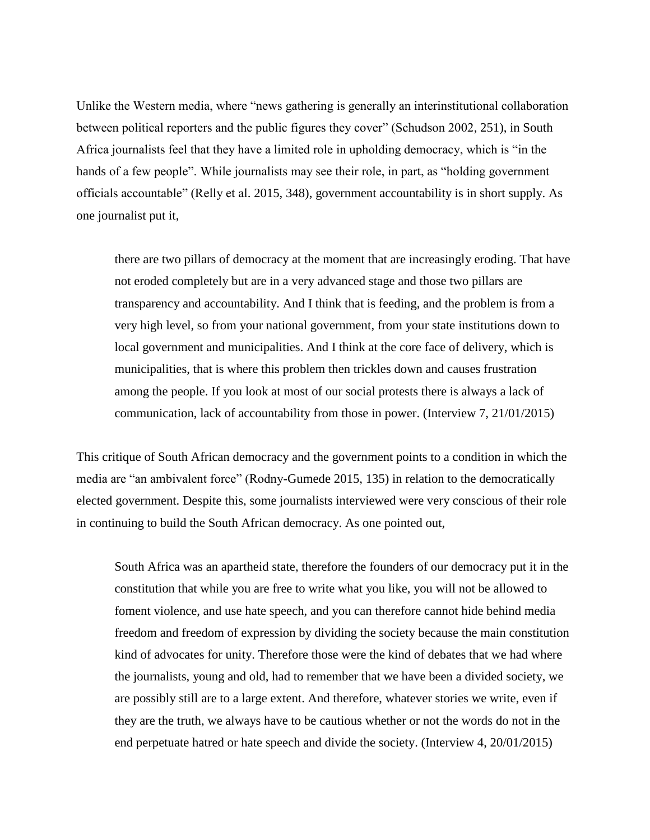Unlike the Western media, where "news gathering is generally an interinstitutional collaboration between political reporters and the public figures they cover" (Schudson 2002, 251), in South Africa journalists feel that they have a limited role in upholding democracy, which is "in the hands of a few people". While journalists may see their role, in part, as "holding government officials accountable" (Relly et al. 2015, 348), government accountability is in short supply. As one journalist put it,

there are two pillars of democracy at the moment that are increasingly eroding. That have not eroded completely but are in a very advanced stage and those two pillars are transparency and accountability. And I think that is feeding, and the problem is from a very high level, so from your national government, from your state institutions down to local government and municipalities. And I think at the core face of delivery, which is municipalities, that is where this problem then trickles down and causes frustration among the people. If you look at most of our social protests there is always a lack of communication, lack of accountability from those in power. (Interview 7, 21/01/2015)

This critique of South African democracy and the government points to a condition in which the media are "an ambivalent force" (Rodny-Gumede 2015, 135) in relation to the democratically elected government. Despite this, some journalists interviewed were very conscious of their role in continuing to build the South African democracy. As one pointed out,

South Africa was an apartheid state, therefore the founders of our democracy put it in the constitution that while you are free to write what you like, you will not be allowed to foment violence, and use hate speech, and you can therefore cannot hide behind media freedom and freedom of expression by dividing the society because the main constitution kind of advocates for unity. Therefore those were the kind of debates that we had where the journalists, young and old, had to remember that we have been a divided society, we are possibly still are to a large extent. And therefore, whatever stories we write, even if they are the truth, we always have to be cautious whether or not the words do not in the end perpetuate hatred or hate speech and divide the society. (Interview 4, 20/01/2015)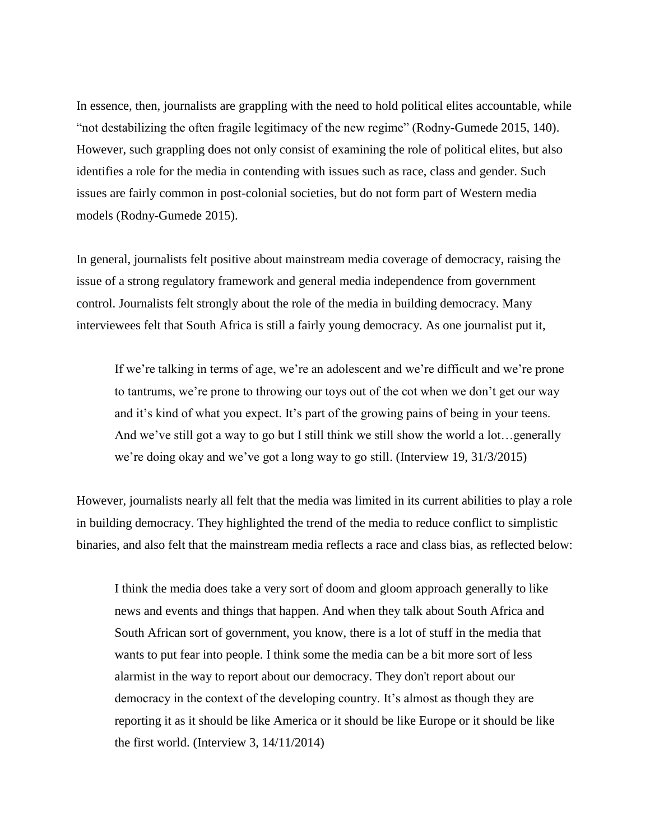In essence, then, journalists are grappling with the need to hold political elites accountable, while "not destabilizing the often fragile legitimacy of the new regime" (Rodny-Gumede 2015, 140). However, such grappling does not only consist of examining the role of political elites, but also identifies a role for the media in contending with issues such as race, class and gender. Such issues are fairly common in post-colonial societies, but do not form part of Western media models (Rodny-Gumede 2015).

In general, journalists felt positive about mainstream media coverage of democracy, raising the issue of a strong regulatory framework and general media independence from government control. Journalists felt strongly about the role of the media in building democracy. Many interviewees felt that South Africa is still a fairly young democracy. As one journalist put it,

If we're talking in terms of age, we're an adolescent and we're difficult and we're prone to tantrums, we're prone to throwing our toys out of the cot when we don't get our way and it's kind of what you expect. It's part of the growing pains of being in your teens. And we've still got a way to go but I still think we still show the world a lot…generally we're doing okay and we've got a long way to go still. (Interview 19, 31/3/2015)

However, journalists nearly all felt that the media was limited in its current abilities to play a role in building democracy. They highlighted the trend of the media to reduce conflict to simplistic binaries, and also felt that the mainstream media reflects a race and class bias, as reflected below:

I think the media does take a very sort of doom and gloom approach generally to like news and events and things that happen. And when they talk about South Africa and South African sort of government, you know, there is a lot of stuff in the media that wants to put fear into people. I think some the media can be a bit more sort of less alarmist in the way to report about our democracy. They don't report about our democracy in the context of the developing country. It's almost as though they are reporting it as it should be like America or it should be like Europe or it should be like the first world. (Interview 3,  $14/11/2014$ )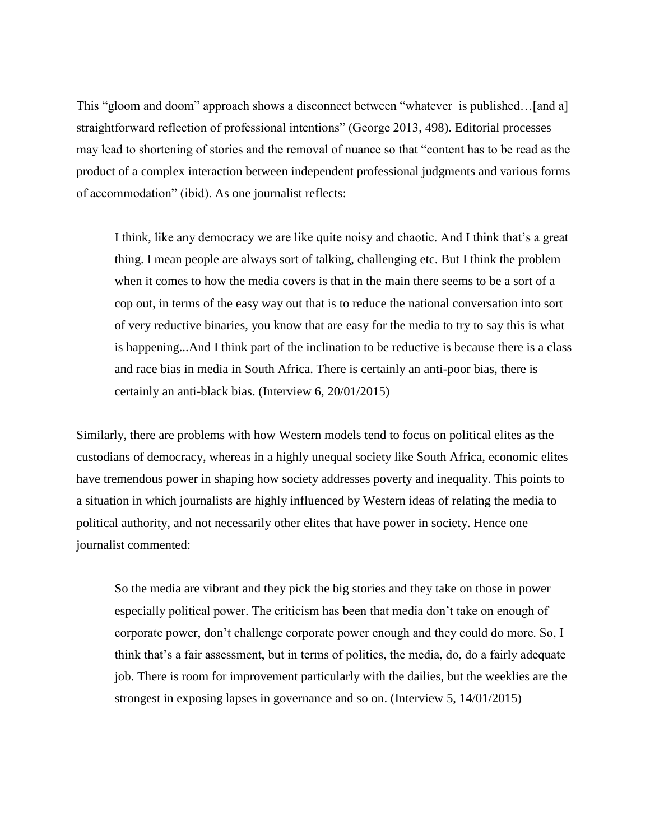This "gloom and doom" approach shows a disconnect between "whatever is published…[and a] straightforward reflection of professional intentions" (George 2013, 498). Editorial processes may lead to shortening of stories and the removal of nuance so that "content has to be read as the product of a complex interaction between independent professional judgments and various forms of accommodation" (ibid). As one journalist reflects:

I think, like any democracy we are like quite noisy and chaotic. And I think that's a great thing. I mean people are always sort of talking, challenging etc. But I think the problem when it comes to how the media covers is that in the main there seems to be a sort of a cop out, in terms of the easy way out that is to reduce the national conversation into sort of very reductive binaries, you know that are easy for the media to try to say this is what is happening...And I think part of the inclination to be reductive is because there is a class and race bias in media in South Africa. There is certainly an anti-poor bias, there is certainly an anti-black bias. (Interview 6, 20/01/2015)

Similarly, there are problems with how Western models tend to focus on political elites as the custodians of democracy, whereas in a highly unequal society like South Africa, economic elites have tremendous power in shaping how society addresses poverty and inequality. This points to a situation in which journalists are highly influenced by Western ideas of relating the media to political authority, and not necessarily other elites that have power in society. Hence one journalist commented:

So the media are vibrant and they pick the big stories and they take on those in power especially political power. The criticism has been that media don't take on enough of corporate power, don't challenge corporate power enough and they could do more. So, I think that's a fair assessment, but in terms of politics, the media, do, do a fairly adequate job. There is room for improvement particularly with the dailies, but the weeklies are the strongest in exposing lapses in governance and so on. (Interview 5, 14/01/2015)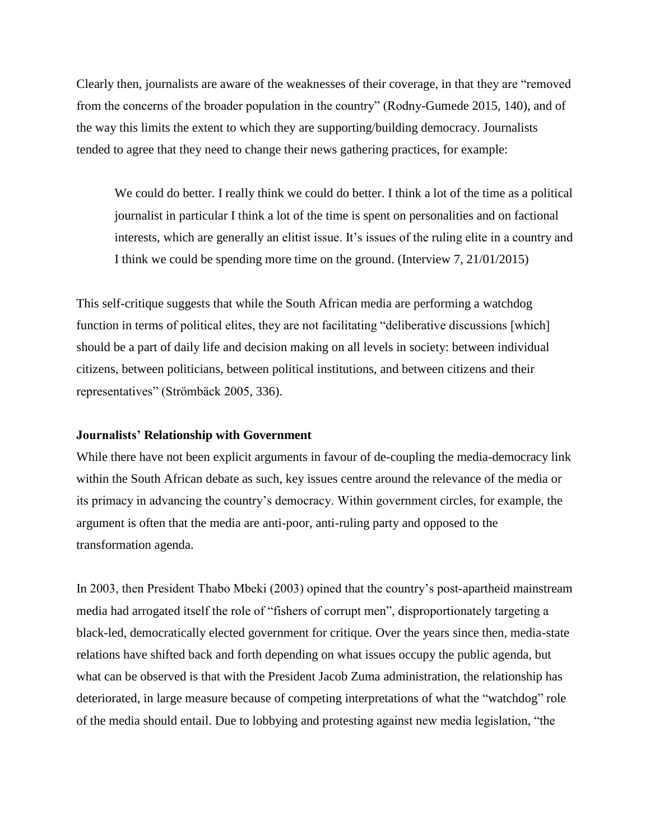Clearly then, journalists are aware of the weaknesses of their coverage, in that they are "removed from the concerns of the broader population in the country" (Rodny-Gumede 2015, 140), and of the way this limits the extent to which they are supporting/building democracy. Journalists tended to agree that they need to change their news gathering practices, for example:

We could do better. I really think we could do better. I think a lot of the time as a political journalist in particular I think a lot of the time is spent on personalities and on factional interests, which are generally an elitist issue. It's issues of the ruling elite in a country and I think we could be spending more time on the ground. (Interview 7, 21/01/2015)

This self-critique suggests that while the South African media are performing a watchdog function in terms of political elites, they are not facilitating "deliberative discussions [which] should be a part of daily life and decision making on all levels in society: between individual citizens, between politicians, between political institutions, and between citizens and their representatives" (Strömbäck 2005, 336).

### **Journalists' Relationship with Government**

While there have not been explicit arguments in favour of de-coupling the media-democracy link within the South African debate as such, key issues centre around the relevance of the media or its primacy in advancing the country's democracy. Within government circles, for example, the argument is often that the media are anti-poor, anti-ruling party and opposed to the transformation agenda.

In 2003, then President Thabo Mbeki (2003) opined that the country's post-apartheid mainstream media had arrogated itself the role of "fishers of corrupt men", disproportionately targeting a black-led, democratically elected government for critique. Over the years since then, media-state relations have shifted back and forth depending on what issues occupy the public agenda, but what can be observed is that with the President Jacob Zuma administration, the relationship has deteriorated, in large measure because of competing interpretations of what the "watchdog" role of the media should entail. Due to lobbying and protesting against new media legislation, "the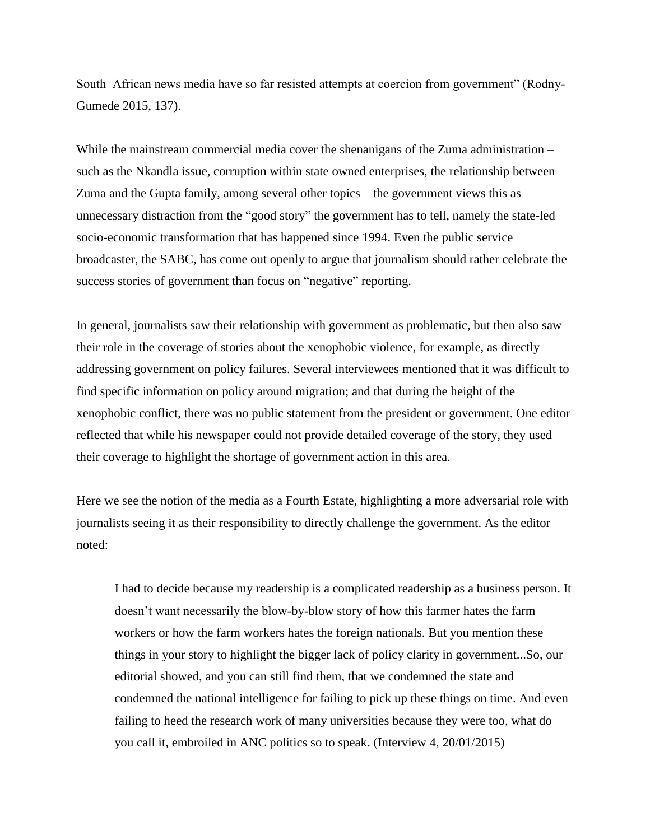South African news media have so far resisted attempts at coercion from government" (Rodny-Gumede 2015, 137).

While the mainstream commercial media cover the shenanigans of the Zuma administration  $$ such as the Nkandla issue, corruption within state owned enterprises, the relationship between Zuma and the Gupta family, among several other topics – the government views this as unnecessary distraction from the "good story" the government has to tell, namely the state-led socio-economic transformation that has happened since 1994. Even the public service broadcaster, the SABC, has come out openly to argue that journalism should rather celebrate the success stories of government than focus on "negative" reporting.

In general, journalists saw their relationship with government as problematic, but then also saw their role in the coverage of stories about the xenophobic violence, for example, as directly addressing government on policy failures. Several interviewees mentioned that it was difficult to find specific information on policy around migration; and that during the height of the xenophobic conflict, there was no public statement from the president or government. One editor reflected that while his newspaper could not provide detailed coverage of the story, they used their coverage to highlight the shortage of government action in this area.

Here we see the notion of the media as a Fourth Estate, highlighting a more adversarial role with journalists seeing it as their responsibility to directly challenge the government. As the editor noted:

I had to decide because my readership is a complicated readership as a business person. It doesn't want necessarily the blow-by-blow story of how this farmer hates the farm workers or how the farm workers hates the foreign nationals. But you mention these things in your story to highlight the bigger lack of policy clarity in government...So, our editorial showed, and you can still find them, that we condemned the state and condemned the national intelligence for failing to pick up these things on time. And even failing to heed the research work of many universities because they were too, what do you call it, embroiled in ANC politics so to speak. (Interview 4, 20/01/2015)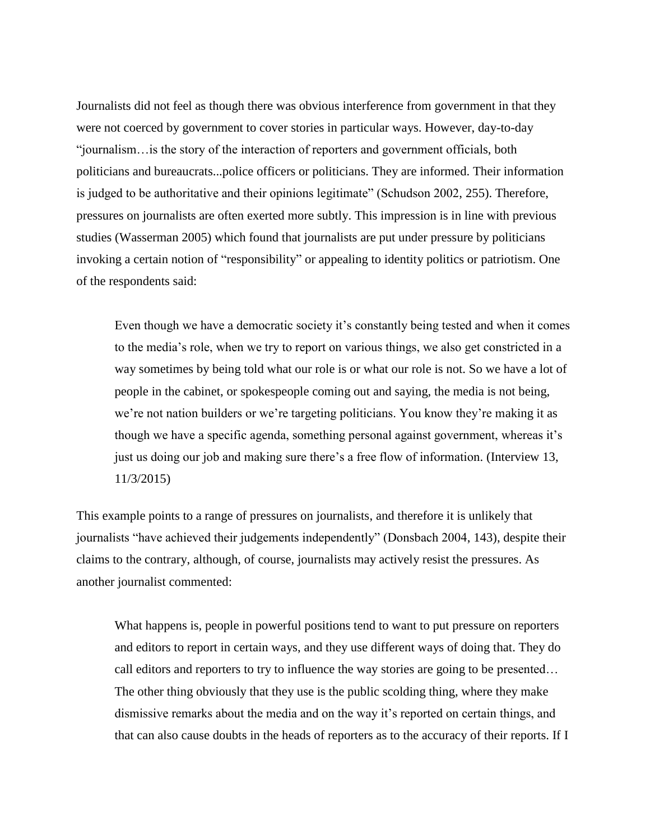Journalists did not feel as though there was obvious interference from government in that they were not coerced by government to cover stories in particular ways. However, day-to-day "journalism…is the story of the interaction of reporters and government officials, both politicians and bureaucrats...police officers or politicians. They are informed. Their information is judged to be authoritative and their opinions legitimate" (Schudson 2002, 255). Therefore, pressures on journalists are often exerted more subtly. This impression is in line with previous studies (Wasserman 2005) which found that journalists are put under pressure by politicians invoking a certain notion of "responsibility" or appealing to identity politics or patriotism. One of the respondents said:

Even though we have a democratic society it's constantly being tested and when it comes to the media's role, when we try to report on various things, we also get constricted in a way sometimes by being told what our role is or what our role is not. So we have a lot of people in the cabinet, or spokespeople coming out and saying, the media is not being, we're not nation builders or we're targeting politicians. You know they're making it as though we have a specific agenda, something personal against government, whereas it's just us doing our job and making sure there's a free flow of information. (Interview 13, 11/3/2015)

This example points to a range of pressures on journalists, and therefore it is unlikely that journalists "have achieved their judgements independently" (Donsbach 2004, 143), despite their claims to the contrary, although, of course, journalists may actively resist the pressures. As another journalist commented:

What happens is, people in powerful positions tend to want to put pressure on reporters and editors to report in certain ways, and they use different ways of doing that. They do call editors and reporters to try to influence the way stories are going to be presented… The other thing obviously that they use is the public scolding thing, where they make dismissive remarks about the media and on the way it's reported on certain things, and that can also cause doubts in the heads of reporters as to the accuracy of their reports. If I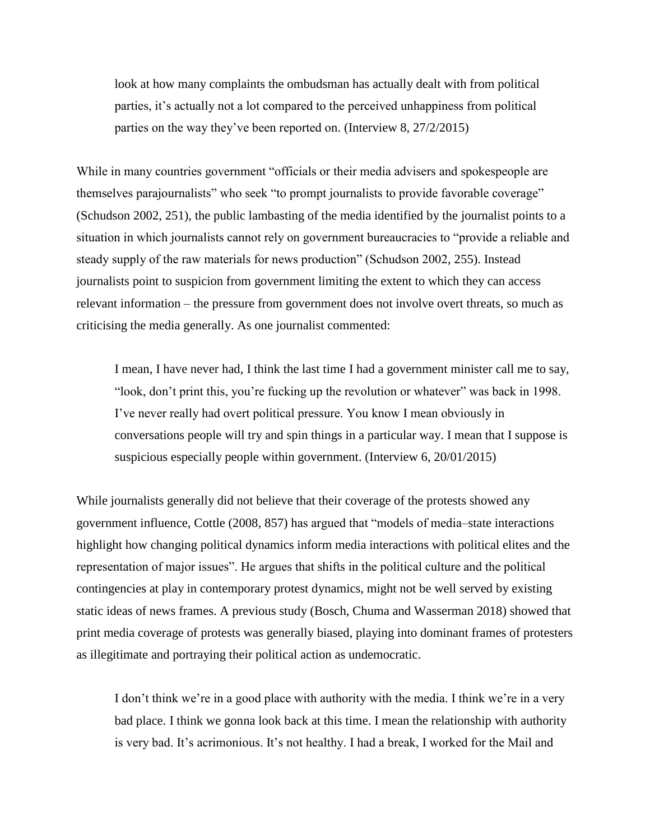look at how many complaints the ombudsman has actually dealt with from political parties, it's actually not a lot compared to the perceived unhappiness from political parties on the way they've been reported on. (Interview 8, 27/2/2015)

While in many countries government "officials or their media advisers and spokespeople are themselves parajournalists" who seek "to prompt journalists to provide favorable coverage" (Schudson 2002, 251), the public lambasting of the media identified by the journalist points to a situation in which journalists cannot rely on government bureaucracies to "provide a reliable and steady supply of the raw materials for news production" (Schudson 2002, 255). Instead journalists point to suspicion from government limiting the extent to which they can access relevant information – the pressure from government does not involve overt threats, so much as criticising the media generally. As one journalist commented:

I mean, I have never had, I think the last time I had a government minister call me to say, "look, don't print this, you're fucking up the revolution or whatever" was back in 1998. I've never really had overt political pressure. You know I mean obviously in conversations people will try and spin things in a particular way. I mean that I suppose is suspicious especially people within government. (Interview 6, 20/01/2015)

While journalists generally did not believe that their coverage of the protests showed any government influence, Cottle (2008, 857) has argued that "models of media–state interactions highlight how changing political dynamics inform media interactions with political elites and the representation of major issues". He argues that shifts in the political culture and the political contingencies at play in contemporary protest dynamics, might not be well served by existing static ideas of news frames. A previous study (Bosch, Chuma and Wasserman 2018) showed that print media coverage of protests was generally biased, playing into dominant frames of protesters as illegitimate and portraying their political action as undemocratic.

I don't think we're in a good place with authority with the media. I think we're in a very bad place. I think we gonna look back at this time. I mean the relationship with authority is very bad. It's acrimonious. It's not healthy. I had a break, I worked for the Mail and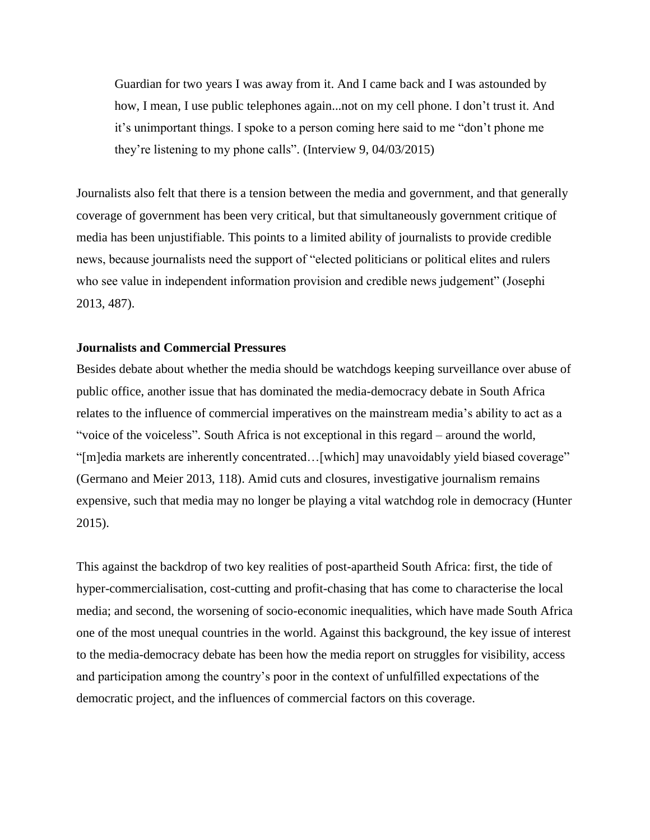Guardian for two years I was away from it. And I came back and I was astounded by how, I mean, I use public telephones again...not on my cell phone. I don't trust it. And it's unimportant things. I spoke to a person coming here said to me "don't phone me they're listening to my phone calls". (Interview 9, 04/03/2015)

Journalists also felt that there is a tension between the media and government, and that generally coverage of government has been very critical, but that simultaneously government critique of media has been unjustifiable. This points to a limited ability of journalists to provide credible news, because journalists need the support of "elected politicians or political elites and rulers who see value in independent information provision and credible news judgement" (Josephi 2013, 487).

### **Journalists and Commercial Pressures**

Besides debate about whether the media should be watchdogs keeping surveillance over abuse of public office, another issue that has dominated the media-democracy debate in South Africa relates to the influence of commercial imperatives on the mainstream media's ability to act as a "voice of the voiceless". South Africa is not exceptional in this regard – around the world, "[m]edia markets are inherently concentrated…[which] may unavoidably yield biased coverage" (Germano and Meier 2013, 118). Amid cuts and closures, investigative journalism remains expensive, such that media may no longer be playing a vital watchdog role in democracy (Hunter 2015).

This against the backdrop of two key realities of post-apartheid South Africa: first, the tide of hyper-commercialisation, cost-cutting and profit-chasing that has come to characterise the local media; and second, the worsening of socio-economic inequalities, which have made South Africa one of the most unequal countries in the world. Against this background, the key issue of interest to the media-democracy debate has been how the media report on struggles for visibility, access and participation among the country's poor in the context of unfulfilled expectations of the democratic project, and the influences of commercial factors on this coverage.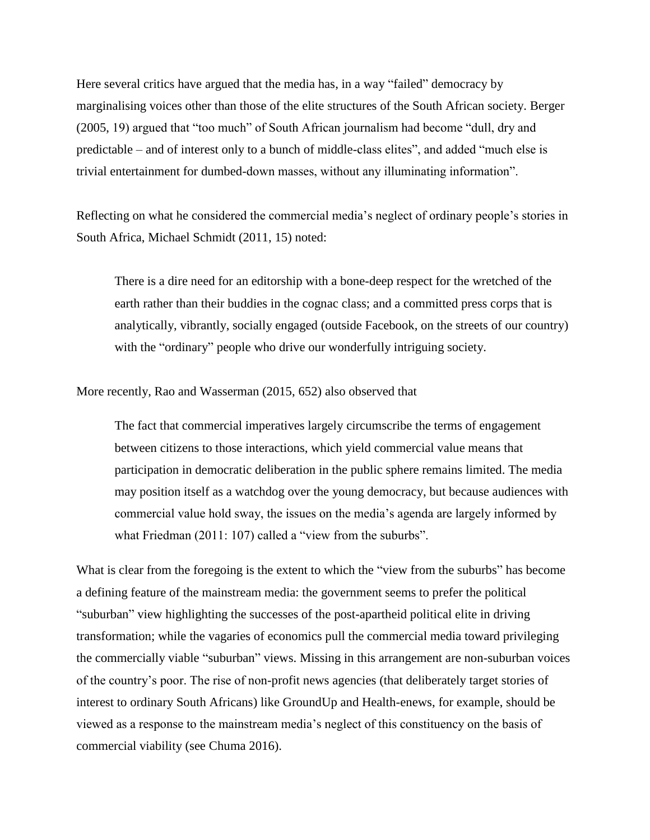Here several critics have argued that the media has, in a way "failed" democracy by marginalising voices other than those of the elite structures of the South African society. Berger (2005, 19) argued that "too much" of South African journalism had become "dull, dry and predictable – and of interest only to a bunch of middle-class elites", and added "much else is trivial entertainment for dumbed-down masses, without any illuminating information".

Reflecting on what he considered the commercial media's neglect of ordinary people's stories in South Africa, Michael Schmidt (2011, 15) noted:

There is a dire need for an editorship with a bone-deep respect for the wretched of the earth rather than their buddies in the cognac class; and a committed press corps that is analytically, vibrantly, socially engaged (outside Facebook, on the streets of our country) with the "ordinary" people who drive our wonderfully intriguing society.

More recently, Rao and Wasserman (2015, 652) also observed that

The fact that commercial imperatives largely circumscribe the terms of engagement between citizens to those interactions, which yield commercial value means that participation in democratic deliberation in the public sphere remains limited. The media may position itself as a watchdog over the young democracy, but because audiences with commercial value hold sway, the issues on the media's agenda are largely informed by what Friedman (2011: 107) called a "view from the suburbs".

What is clear from the foregoing is the extent to which the "view from the suburbs" has become a defining feature of the mainstream media: the government seems to prefer the political "suburban" view highlighting the successes of the post-apartheid political elite in driving transformation; while the vagaries of economics pull the commercial media toward privileging the commercially viable "suburban" views. Missing in this arrangement are non-suburban voices of the country's poor. The rise of non-profit news agencies (that deliberately target stories of interest to ordinary South Africans) like GroundUp and Health-enews, for example, should be viewed as a response to the mainstream media's neglect of this constituency on the basis of commercial viability (see Chuma 2016).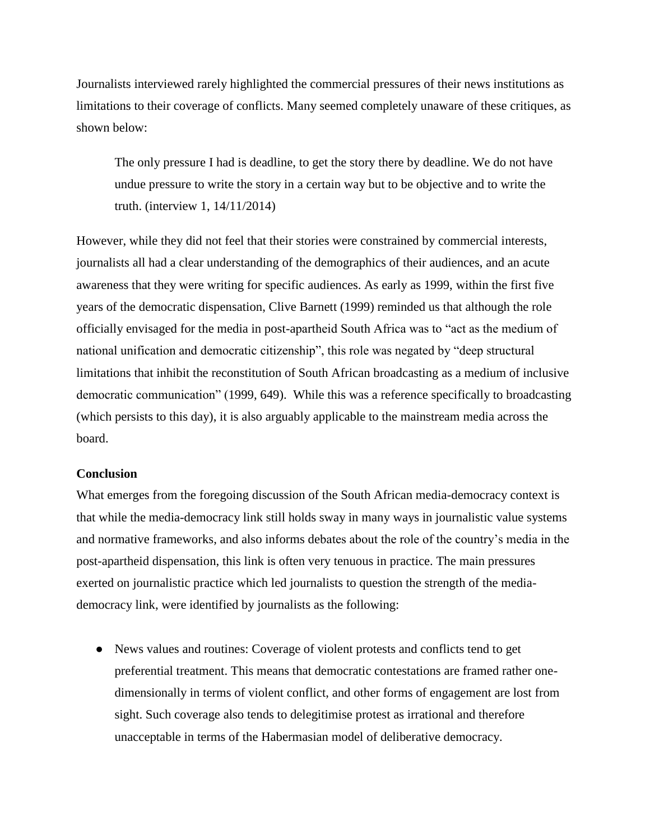Journalists interviewed rarely highlighted the commercial pressures of their news institutions as limitations to their coverage of conflicts. Many seemed completely unaware of these critiques, as shown below:

The only pressure I had is deadline, to get the story there by deadline. We do not have undue pressure to write the story in a certain way but to be objective and to write the truth. (interview 1, 14/11/2014)

However, while they did not feel that their stories were constrained by commercial interests, journalists all had a clear understanding of the demographics of their audiences, and an acute awareness that they were writing for specific audiences. As early as 1999, within the first five years of the democratic dispensation, Clive Barnett (1999) reminded us that although the role officially envisaged for the media in post-apartheid South Africa was to "act as the medium of national unification and democratic citizenship", this role was negated by "deep structural limitations that inhibit the reconstitution of South African broadcasting as a medium of inclusive democratic communication" (1999, 649). While this was a reference specifically to broadcasting (which persists to this day), it is also arguably applicable to the mainstream media across the board.

#### **Conclusion**

What emerges from the foregoing discussion of the South African media-democracy context is that while the media-democracy link still holds sway in many ways in journalistic value systems and normative frameworks, and also informs debates about the role of the country's media in the post-apartheid dispensation, this link is often very tenuous in practice. The main pressures exerted on journalistic practice which led journalists to question the strength of the mediademocracy link, were identified by journalists as the following:

• News values and routines: Coverage of violent protests and conflicts tend to get preferential treatment. This means that democratic contestations are framed rather onedimensionally in terms of violent conflict, and other forms of engagement are lost from sight. Such coverage also tends to delegitimise protest as irrational and therefore unacceptable in terms of the Habermasian model of deliberative democracy.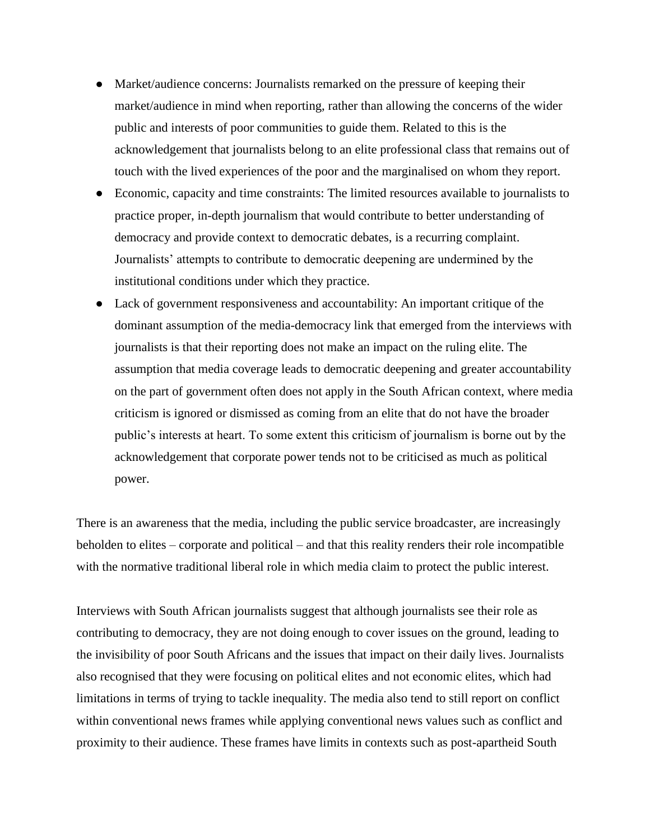- Market/audience concerns: Journalists remarked on the pressure of keeping their market/audience in mind when reporting, rather than allowing the concerns of the wider public and interests of poor communities to guide them. Related to this is the acknowledgement that journalists belong to an elite professional class that remains out of touch with the lived experiences of the poor and the marginalised on whom they report.
- Economic, capacity and time constraints: The limited resources available to journalists to practice proper, in-depth journalism that would contribute to better understanding of democracy and provide context to democratic debates, is a recurring complaint. Journalists' attempts to contribute to democratic deepening are undermined by the institutional conditions under which they practice.
- Lack of government responsiveness and accountability: An important critique of the dominant assumption of the media-democracy link that emerged from the interviews with journalists is that their reporting does not make an impact on the ruling elite. The assumption that media coverage leads to democratic deepening and greater accountability on the part of government often does not apply in the South African context, where media criticism is ignored or dismissed as coming from an elite that do not have the broader public's interests at heart. To some extent this criticism of journalism is borne out by the acknowledgement that corporate power tends not to be criticised as much as political power.

There is an awareness that the media, including the public service broadcaster, are increasingly beholden to elites  $-$  corporate and political  $-$  and that this reality renders their role incompatible with the normative traditional liberal role in which media claim to protect the public interest.

Interviews with South African journalists suggest that although journalists see their role as contributing to democracy, they are not doing enough to cover issues on the ground, leading to the invisibility of poor South Africans and the issues that impact on their daily lives. Journalists also recognised that they were focusing on political elites and not economic elites, which had limitations in terms of trying to tackle inequality. The media also tend to still report on conflict within conventional news frames while applying conventional news values such as conflict and proximity to their audience. These frames have limits in contexts such as post-apartheid South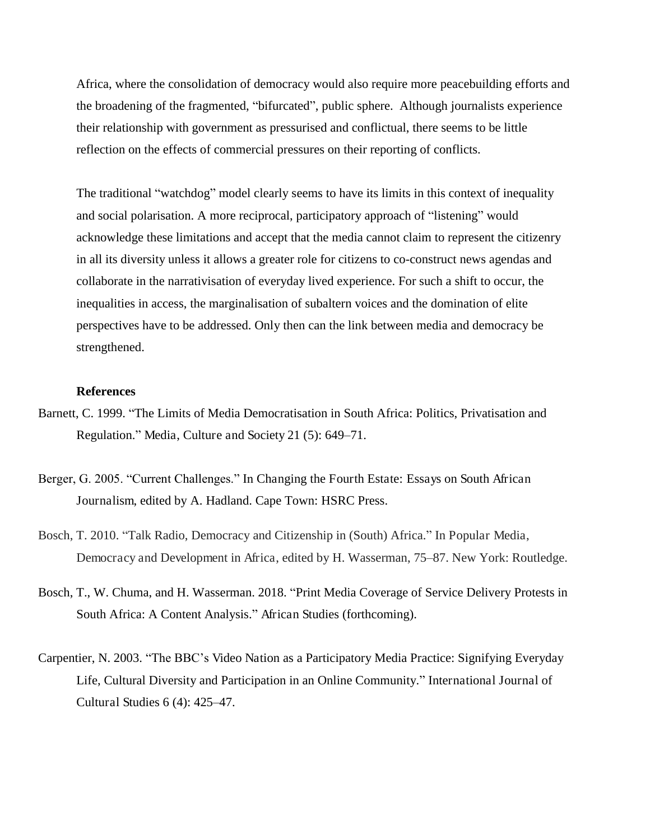Africa, where the consolidation of democracy would also require more peacebuilding efforts and the broadening of the fragmented, "bifurcated", public sphere. Although journalists experience their relationship with government as pressurised and conflictual, there seems to be little reflection on the effects of commercial pressures on their reporting of conflicts.

The traditional "watchdog" model clearly seems to have its limits in this context of inequality and social polarisation. A more reciprocal, participatory approach of "listening" would acknowledge these limitations and accept that the media cannot claim to represent the citizenry in all its diversity unless it allows a greater role for citizens to co-construct news agendas and collaborate in the narrativisation of everyday lived experience. For such a shift to occur, the inequalities in access, the marginalisation of subaltern voices and the domination of elite perspectives have to be addressed. Only then can the link between media and democracy be strengthened.

### **References**

- Barnett, C. 1999. "The Limits of Media Democratisation in South Africa: Politics, Privatisation and Regulation." Media, Culture and Society 21 (5): 649–71.
- Berger, G. 2005. "Current Challenges." In Changing the Fourth Estate: Essays on South African Journalism, edited by A. Hadland. Cape Town: HSRC Press.
- Bosch, T. 2010. "Talk Radio, Democracy and Citizenship in (South) Africa." In Popular Media, Democracy and Development in Africa, edited by H. Wasserman, 75–87. New York: Routledge.
- Bosch, T., W. Chuma, and H. Wasserman. 2018. "Print Media Coverage of Service Delivery Protests in South Africa: A Content Analysis." African Studies (forthcoming).
- Carpentier, N. 2003. "The BBC's Video Nation as a Participatory Media Practice: Signifying Everyday Life, Cultural Diversity and Participation in an Online Community." International Journal of Cultural Studies  $6(4)$ : 425–47.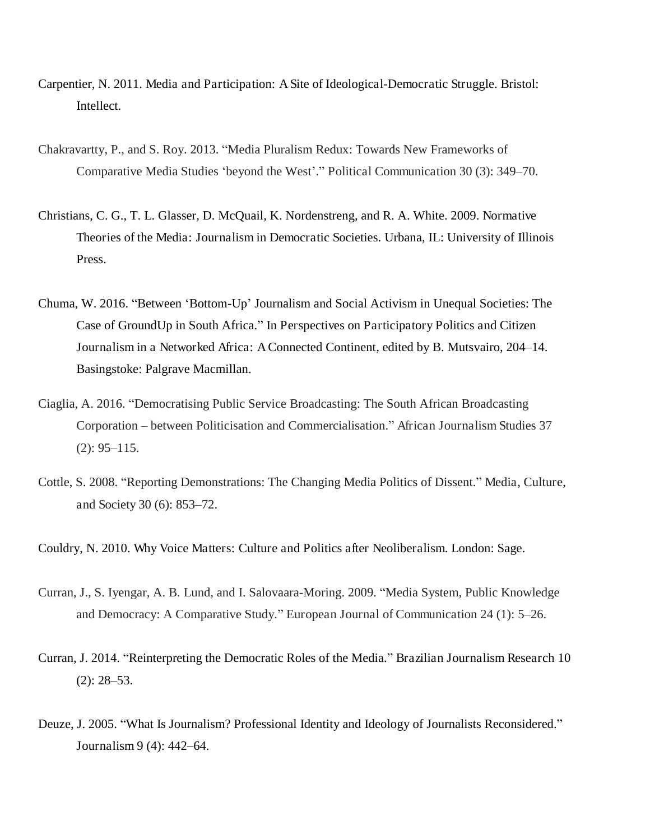- Carpentier, N. 2011. Media and Participation: A Site of Ideological-Democratic Struggle. Bristol: Intellect.
- Chakravartty, P., and S. Roy. 2013. "Media Pluralism Redux: Towards New Frameworks of Comparative Media Studies 'beyond the West'." Political Communication 30 (3): 349–70.
- Christians, C. G., T. L. Glasser, D. McQuail, K. Nordenstreng, and R. A. White. 2009. Normative Theories of the Media: Journalism in Democratic Societies. Urbana, IL: University of Illinois Press.
- Chuma, W. 2016. "Between 'Bottom-Up' Journalism and Social Activism in Unequal Societies: The Case of GroundUp in South Africa." In Perspectives on Participatory Politics and Citizen Journalism in a Networked Africa: A Connected Continent, edited by B. Mutsvairo, 204–14. Basingstoke: Palgrave Macmillan.
- Ciaglia, A. 2016. "Democratising Public Service Broadcasting: The South African Broadcasting Corporation – between Politicisation and Commercialisation." African Journalism Studies 37  $(2): 95 - 115.$
- Cottle, S. 2008. "Reporting Demonstrations: The Changing Media Politics of Dissent." Media, Culture, and Society 30 (6): 853–72.
- Couldry, N. 2010. Why Voice Matters: Culture and Politics after Neoliberalism. London: Sage.
- Curran, J., S. Iyengar, A. B. Lund, and I. Salovaara-Moring. 2009. "Media System, Public Knowledge and Democracy: A Comparative Study." European Journal of Communication  $24$  (1):  $5-26$ .
- Curran, J. 2014. "Reinterpreting the Democratic Roles of the Media." Brazilian Journalism Research 10  $(2): 28 - 53.$
- Deuze, J. 2005. "What Is Journalism? Professional Identity and Ideology of Journalists Reconsidered." Journalism 9 (4):  $442-64$ .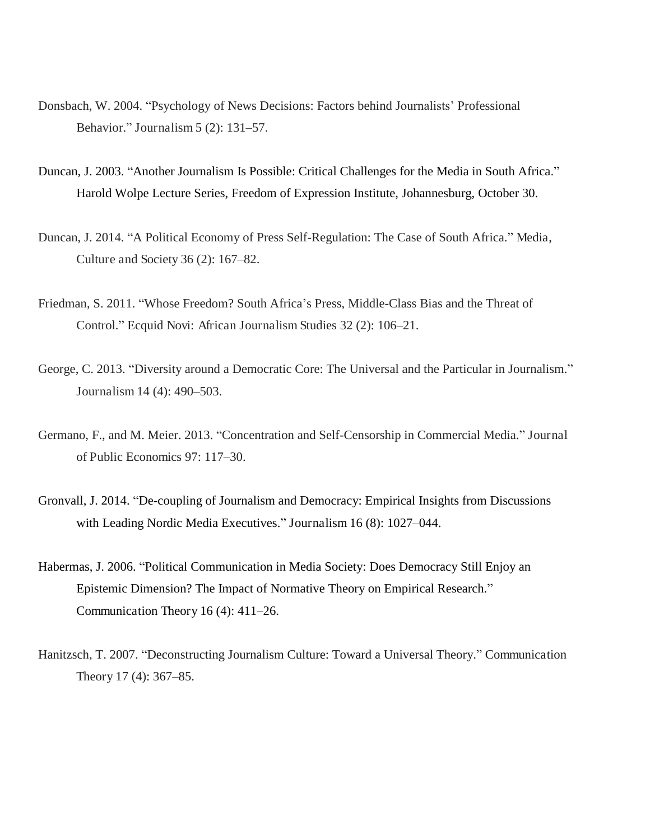- Donsbach, W. 2004. "Psychology of News Decisions: Factors behind Journalists' Professional Behavior." Journalism  $5(2)$ : 131–57.
- Duncan, J. 2003. "Another Journalism Is Possible: Critical Challenges for the Media in South Africa." Harold Wolpe Lecture Series, Freedom of Expression Institute, Johannesburg, October 30.
- Duncan, J. 2014. "A Political Economy of Press Self-Regulation: The Case of South Africa." Media, Culture and Society 36  $(2)$ : 167–82.
- Friedman, S. 2011. "Whose Freedom? South Africa's Press, Middle-Class Bias and the Threat of Control." Ecquid Novi: African Journalism Studies 32 (2): 106–21.
- George, C. 2013. "Diversity around a Democratic Core: The Universal and the Particular in Journalism." Journalism 14 (4): 490–503.
- Germano, F., and M. Meier. 2013. "Concentration and Self-Censorship in Commercial Media." Journal of Public Economics  $97: 117-30$ .
- Gronvall, J. 2014. "De-coupling of Journalism and Democracy: Empirical Insights from Discussions with Leading Nordic Media Executives." Journalism 16 (8): 1027-044.
- Habermas, J. 2006. "Political Communication in Media Society: Does Democracy Still Enjoy an Epistemic Dimension? The Impact of Normative Theory on Empirical Research." Communication Theory 16 (4):  $411-26$ .
- Hanitzsch, T. 2007. "Deconstructing Journalism Culture: Toward a Universal Theory." Communication Theory 17 $(4)$ : 367–85.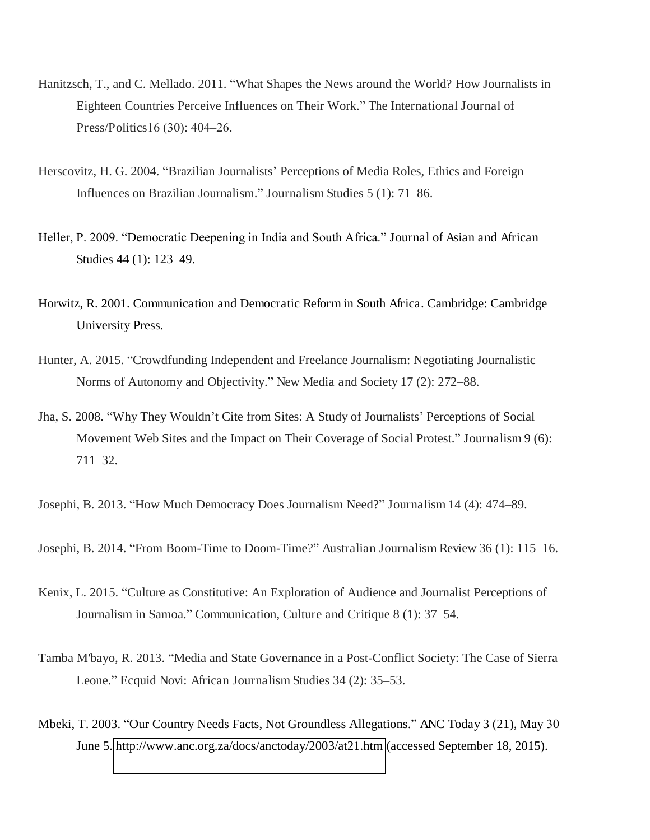- Hanitzsch, T., and C. Mellado. 2011. "What Shapes the News around the World? How Journalists in Eighteen Countries Perceive Influences on Their Work." The International Journal of Press/Politics16 (30): 404–26.
- Herscovitz, H. G. 2004. "Brazilian Journalists' Perceptions of Media Roles, Ethics and Foreign Influences on Brazilian Journalism." Journalism Studies 5 (1): 71–86.
- Heller, P. 2009. "Democratic Deepening in India and South Africa." Journal of Asian and African Studies 44 (1): 123–49.
- Horwitz, R. 2001. Communication and Democratic Reform in South Africa. Cambridge: Cambridge University Press.
- Hunter, A. 2015. "Crowdfunding Independent and Freelance Journalism: Negotiating Journalistic Norms of Autonomy and Objectivity." New Media and Society 17 (2): 272–88.
- Jha, S. 2008. "Why They Wouldn't Cite from Sites: A Study of Journalists' Perceptions of Social Movement Web Sites and the Impact on Their Coverage of Social Protest." Journalism 9 (6):  $711 - 32.$
- Josephi, B. 2013. "How Much Democracy Does Journalism Need?" Journalism 14 (4): 474–89.
- Josephi, B. 2014. "From Boom-Time to Doom-Time?" Australian Journalism Review 36 (1): 115–16.
- Kenix, L. 2015. "Culture as Constitutive: An Exploration of Audience and Journalist Perceptions of Journalism in Samoa." Communication, Culture and Critique 8 (1): 37–54.
- Tamba M'bayo, R. 2013. "Media and State Governance in a Post-Conflict Society: The Case of Sierra Leone." Ecquid Novi: African Journalism Studies 34 (2): 35–53.
- Mbeki, T. 2003. "Our Country Needs Facts, Not Groundless Allegations." ANC Today 3 (21), May 30– June 5.<http://www.anc.org.za/docs/anctoday/2003/at21.htm>(accessed September 18, 2015).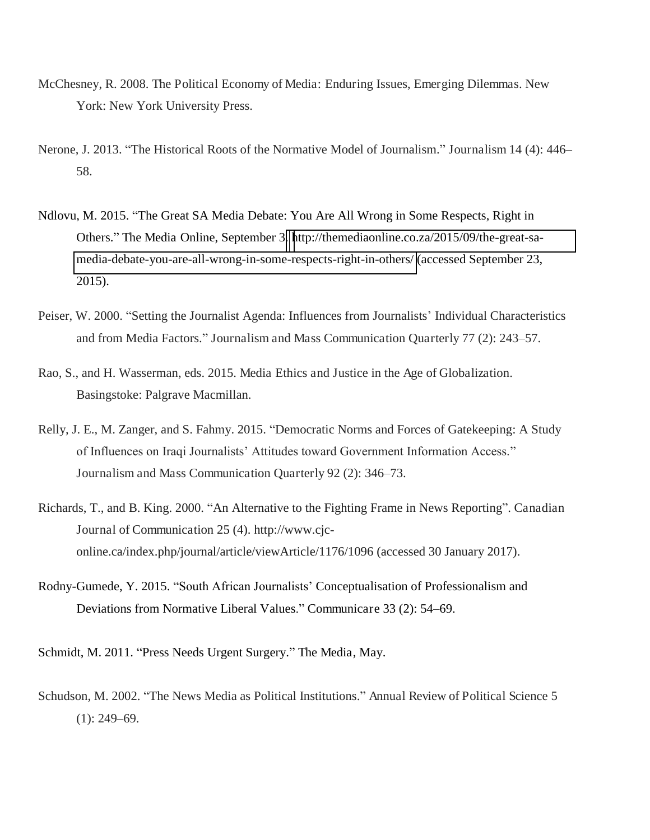- McChesney, R. 2008. The Political Economy of Media: Enduring Issues, Emerging Dilemmas. New York: New York University Press.
- Nerone, J. 2013. "The Historical Roots of the Normative Model of Journalism." Journalism 14 (4): 446– 58.
- Ndlovu, M. 2015. "The Great SA Media Debate: You Are All Wrong in Some Respects, Right in Others." The Media Online, September 3[. http://themediaonline.co.za/2015/09/the-great-sa](http://themediaonline.co.za/2015/09/the-great-sa-media-debate-you-are-all-wrong-in-some-respects-right-in-others/)[media-debate-you-are-all-wrong-in-some-respects-right-in-others/](http://themediaonline.co.za/2015/09/the-great-sa-media-debate-you-are-all-wrong-in-some-respects-right-in-others/) (accessed September 23, 2015).
- Peiser, W. 2000. "Setting the Journalist Agenda: Influences from Journalists' Individual Characteristics and from Media Factors." Journalism and Mass Communication Quarterly 77 (2): 243–57.
- Rao, S., and H. Wasserman, eds. 2015. Media Ethics and Justice in the Age of Globalization. Basingstoke: Palgrave Macmillan.
- Relly, J. E., M. Zanger, and S. Fahmy. 2015. "Democratic Norms and Forces of Gatekeeping: A Study of Influences on Iraqi Journalists' Attitudes toward Government Information Access." Journalism and Mass Communication Quarterly 92 (2): 346–73.
- Richards, T., and B. King. 2000. "An Alternative to the Fighting Frame in News Reporting". Canadian Journal of Communication 25 (4). http://www.cjconline.ca/index.php/journal/article/viewArticle/1176/1096 (accessed 30 January 2017).
- Rodny-Gumede, Y. 2015. "South African Journalists' Conceptualisation of Professionalism and Deviations from Normative Liberal Values." Communicare 33 (2): 54–69.

Schmidt, M. 2011. "Press Needs Urgent Surgery." The Media, May.

Schudson, M. 2002. "The News Media as Political Institutions." Annual Review of Political Science 5  $(1): 249 - 69.$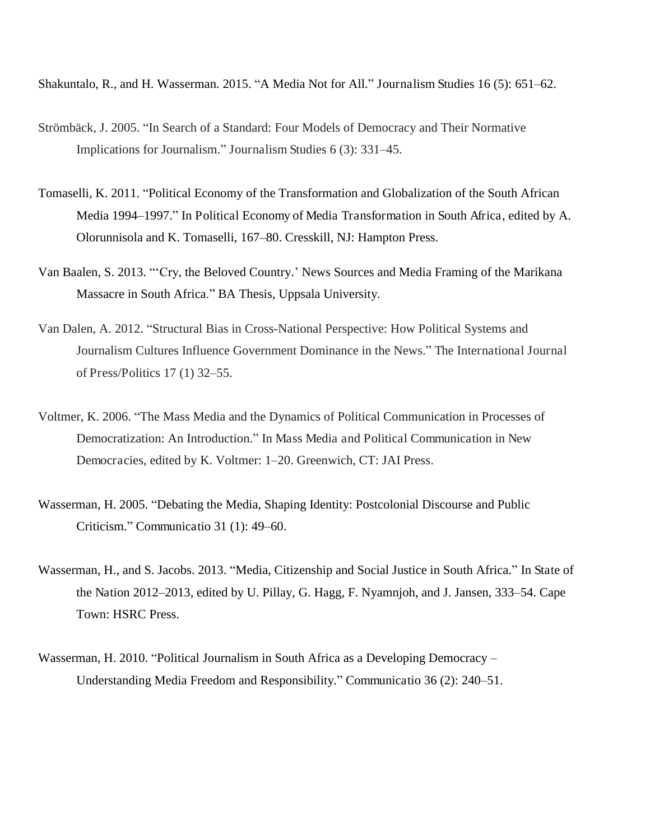Shakuntalo, R., and H. Wasserman. 2015. "A Media Not for All." Journalism Studies 16 (5): 651–62.

- Strömbäck, J. 2005. "In Search of a Standard: Four Models of Democracy and Their Normative Implications for Journalism." Journalism Studies  $6(3)$ : 331–45.
- Tomaselli, K. 2011. "Political Economy of the Transformation and Globalization of the South African Media 1994–1997." In Political Economy of Media Transformation in South Africa, edited by A. Olorunnisola and K. Tomaselli, 167–80. Cresskill, NJ: Hampton Press.
- Van Baalen, S. 2013. "'Cry, the Beloved Country.' News Sources and Media Framing of the Marikana Massacre in South Africa." BA Thesis, Uppsala University.
- Van Dalen, A. 2012. "Structural Bias in Cross-National Perspective: How Political Systems and Journalism Cultures Influence Government Dominance in the News." The International Journal of Press/Politics  $17(1)$  32–55.
- Voltmer, K. 2006. "The Mass Media and the Dynamics of Political Communication in Processes of Democratization: An Introduction." In Mass Media and Political Communication in New Democracies, edited by K. Voltmer: 1-20. Greenwich, CT: JAI Press.
- Wasserman, H. 2005. "Debating the Media, Shaping Identity: Postcolonial Discourse and Public Criticism." Communicatio 31 (1): 49–60.
- Wasserman, H., and S. Jacobs. 2013. "Media, Citizenship and Social Justice in South Africa." In State of the Nation 2012–2013, edited by U. Pillay, G. Hagg, F. Nyamnjoh, and J. Jansen, 333–54. Cape Town: HSRC Press.
- Wasserman, H. 2010. "Political Journalism in South Africa as a Developing Democracy Understanding Media Freedom and Responsibility." Communicatio 36 (2): 240–51.